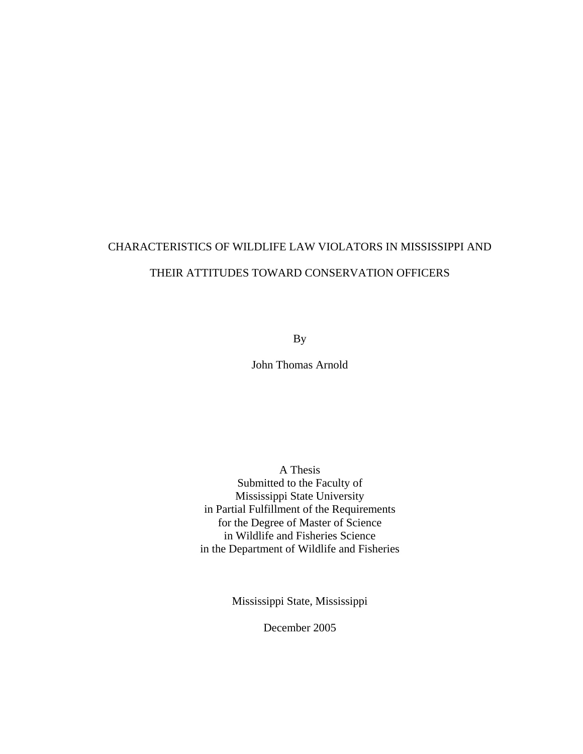# CHARACTERISTICS OF WILDLIFE LAW VIOLATORS IN MISSISSIPPI AND THEIR ATTITUDES TOWARD CONSERVATION OFFICERS

By

John Thomas Arnold

A Thesis Submitted to the Faculty of Mississippi State University in Partial Fulfillment of the Requirements for the Degree of Master of Science in Wildlife and Fisheries Science in the Department of Wildlife and Fisheries

Mississippi State, Mississippi

December 2005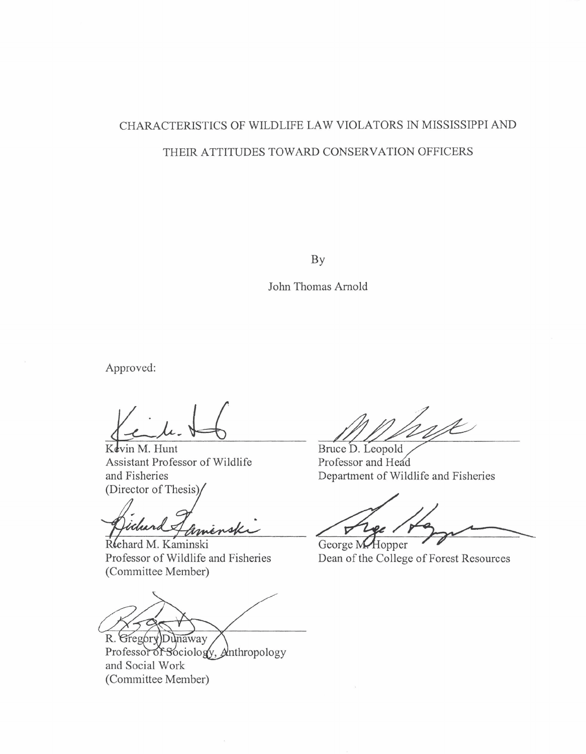# CHARACTERISTICS OF WILDLIFE LAW VIOLATORS IN MISSISSIPPI AND THEIR ATTITUDES TOWARD CONSERVATION OFFICERS

**BY** 

John Thomas Arnold

Approved:

Kevin M. Hunt Assistant Professor of Wildlife (Director of Thesis

nsk

Rehard M. Kaminski (Committee Member)

R. GregoryDunaway Professor of Sociology, Anthropology and Social Work (Committee Member)

 $\overline{A}$ 

Bruce D. Leopold Professor and Head and Fisheries Department of Wildlife and Fisheries

 $\triangledown$ 

George M. Hopper Professor of Wildlife and Fisheries Dean of the College of Forest Resources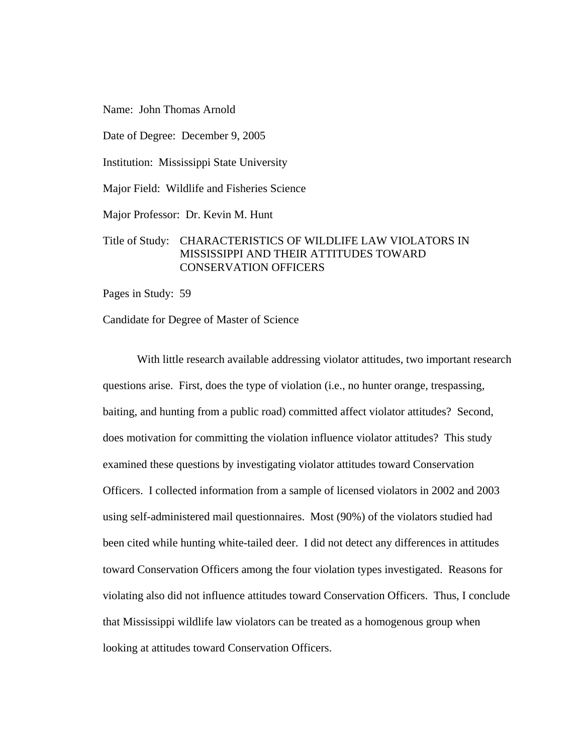Name: John Thomas Arnold

Date of Degree: December 9, 2005

Institution: Mississippi State University

Major Field: Wildlife and Fisheries Science

Major Professor: Dr. Kevin M. Hunt

# Title of Study: CHARACTERISTICS OF WILDLIFE LAW VIOLATORS IN MISSISSIPPI AND THEIR ATTITUDES TOWARD CONSERVATION OFFICERS

Pages in Study: 59

Candidate for Degree of Master of Science

 With little research available addressing violator attitudes, two important research questions arise. First, does the type of violation (i.e., no hunter orange, trespassing, baiting, and hunting from a public road) committed affect violator attitudes? Second, does motivation for committing the violation influence violator attitudes? This study examined these questions by investigating violator attitudes toward Conservation Officers. I collected information from a sample of licensed violators in 2002 and 2003 using self-administered mail questionnaires. Most (90%) of the violators studied had been cited while hunting white-tailed deer. I did not detect any differences in attitudes toward Conservation Officers among the four violation types investigated. Reasons for violating also did not influence attitudes toward Conservation Officers. Thus, I conclude that Mississippi wildlife law violators can be treated as a homogenous group when looking at attitudes toward Conservation Officers.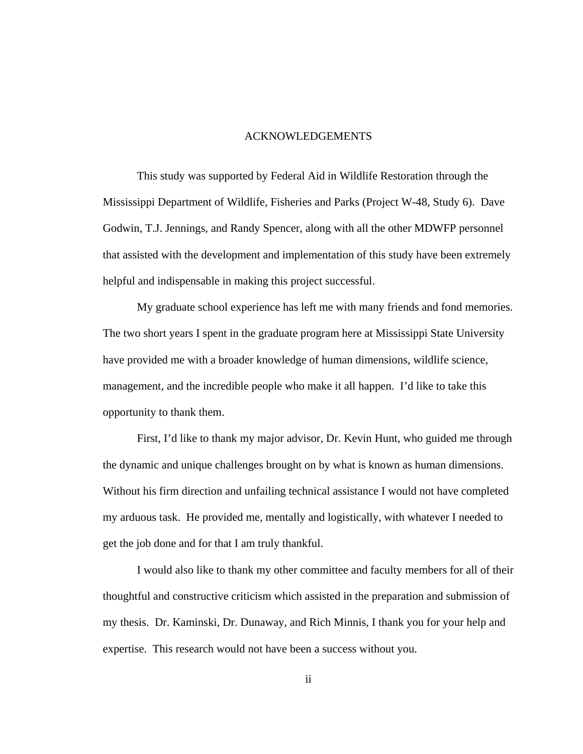#### ACKNOWLEDGEMENTS

This study was supported by Federal Aid in Wildlife Restoration through the Mississippi Department of Wildlife, Fisheries and Parks (Project W-48, Study 6). Dave Godwin, T.J. Jennings, and Randy Spencer, along with all the other MDWFP personnel that assisted with the development and implementation of this study have been extremely helpful and indispensable in making this project successful.

 My graduate school experience has left me with many friends and fond memories. The two short years I spent in the graduate program here at Mississippi State University have provided me with a broader knowledge of human dimensions, wildlife science, management, and the incredible people who make it all happen. I'd like to take this opportunity to thank them.

First, I'd like to thank my major advisor, Dr. Kevin Hunt, who guided me through the dynamic and unique challenges brought on by what is known as human dimensions. Without his firm direction and unfailing technical assistance I would not have completed my arduous task. He provided me, mentally and logistically, with whatever I needed to get the job done and for that I am truly thankful.

I would also like to thank my other committee and faculty members for all of their thoughtful and constructive criticism which assisted in the preparation and submission of my thesis. Dr. Kaminski, Dr. Dunaway, and Rich Minnis, I thank you for your help and expertise. This research would not have been a success without you.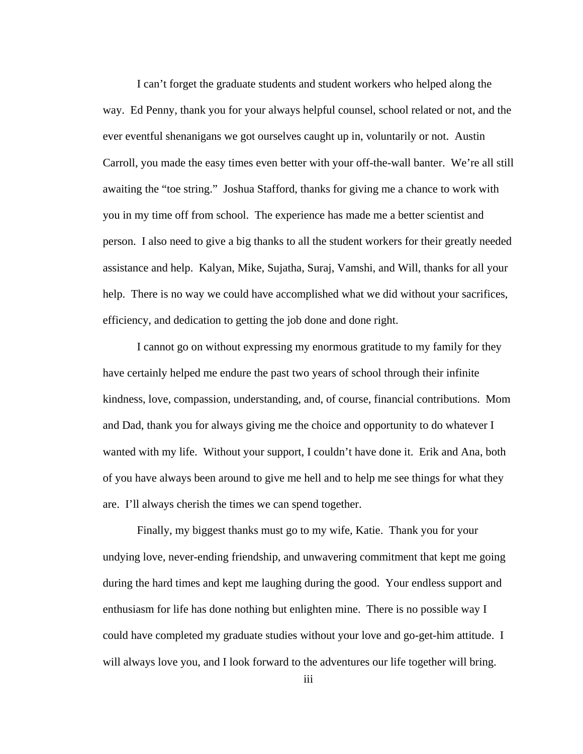I can't forget the graduate students and student workers who helped along the way. Ed Penny, thank you for your always helpful counsel, school related or not, and the ever eventful shenanigans we got ourselves caught up in, voluntarily or not. Austin Carroll, you made the easy times even better with your off-the-wall banter. We're all still awaiting the "toe string." Joshua Stafford, thanks for giving me a chance to work with you in my time off from school. The experience has made me a better scientist and person. I also need to give a big thanks to all the student workers for their greatly needed assistance and help. Kalyan, Mike, Sujatha, Suraj, Vamshi, and Will, thanks for all your help. There is no way we could have accomplished what we did without your sacrifices, efficiency, and dedication to getting the job done and done right.

I cannot go on without expressing my enormous gratitude to my family for they have certainly helped me endure the past two years of school through their infinite kindness, love, compassion, understanding, and, of course, financial contributions. Mom and Dad, thank you for always giving me the choice and opportunity to do whatever I wanted with my life. Without your support, I couldn't have done it. Erik and Ana, both of you have always been around to give me hell and to help me see things for what they are. I'll always cherish the times we can spend together.

Finally, my biggest thanks must go to my wife, Katie. Thank you for your undying love, never-ending friendship, and unwavering commitment that kept me going during the hard times and kept me laughing during the good. Your endless support and enthusiasm for life has done nothing but enlighten mine. There is no possible way I could have completed my graduate studies without your love and go-get-him attitude. I will always love you, and I look forward to the adventures our life together will bring.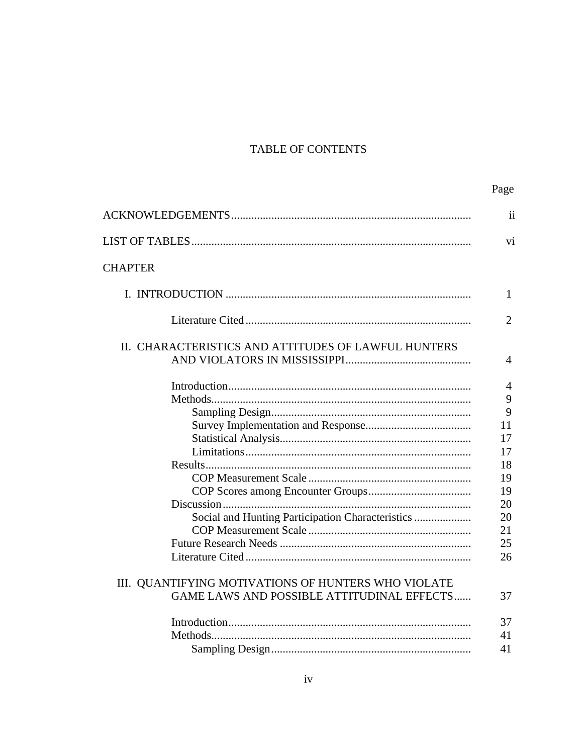# TABLE OF CONTENTS

|                                                     | Page                  |
|-----------------------------------------------------|-----------------------|
|                                                     | $\overline{11}$       |
|                                                     | Vİ.                   |
| <b>CHAPTER</b>                                      |                       |
|                                                     | 1                     |
|                                                     | $\mathcal{D}_{\cdot}$ |
| II. CHARACTERISTICS AND ATTITUDES OF LAWFUL HUNTERS | 4                     |
|                                                     | 4                     |
|                                                     | 9<br>9                |
|                                                     | 11                    |
|                                                     | 17                    |
|                                                     | 17                    |
|                                                     | 18                    |
|                                                     | 19                    |
|                                                     | 19                    |
|                                                     | 20                    |
| Social and Hunting Participation Characteristics    | 20                    |
|                                                     | 21                    |
|                                                     | 25                    |
|                                                     | 26                    |
| III. QUANTIFYING MOTIVATIONS OF HUNTERS WHO VIOLATE |                       |
| <b>GAME LAWS AND POSSIBLE ATTITUDINAL EFFECTS</b>   | 37                    |
|                                                     | 37                    |
|                                                     | 41                    |
|                                                     | 41                    |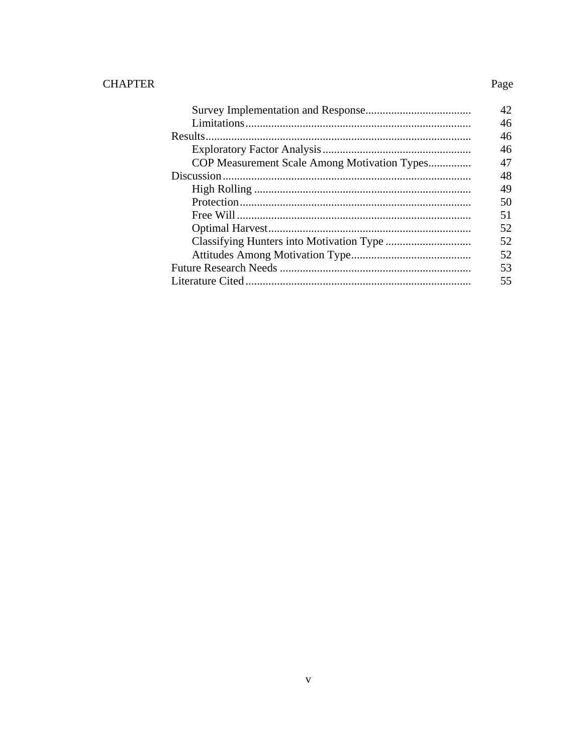# **CHAPTER**

|                                              | 42 |
|----------------------------------------------|----|
|                                              | 46 |
|                                              | 46 |
|                                              | 46 |
| COP Measurement Scale Among Motivation Types | 47 |
|                                              | 48 |
|                                              | 49 |
|                                              | 50 |
|                                              | 51 |
|                                              | 52 |
|                                              | 52 |
|                                              | 52 |
|                                              | 53 |
|                                              |    |

Page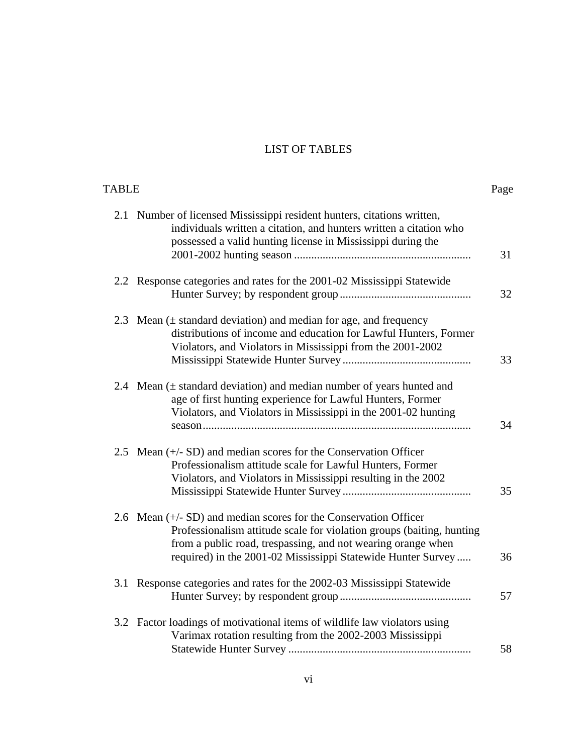# LIST OF TABLES

| TABLE |                                                                                                                                                                                                                                                                             | Page |
|-------|-----------------------------------------------------------------------------------------------------------------------------------------------------------------------------------------------------------------------------------------------------------------------------|------|
|       | 2.1 Number of licensed Mississippi resident hunters, citations written,<br>individuals written a citation, and hunters written a citation who<br>possessed a valid hunting license in Mississippi during the                                                                | 31   |
|       | 2.2 Response categories and rates for the 2001-02 Mississippi Statewide                                                                                                                                                                                                     | 32   |
|       | 2.3 Mean $(\pm$ standard deviation) and median for age, and frequency<br>distributions of income and education for Lawful Hunters, Former<br>Violators, and Violators in Mississippi from the 2001-2002                                                                     | 33   |
|       | 2.4 Mean $(\pm$ standard deviation) and median number of years hunted and<br>age of first hunting experience for Lawful Hunters, Former<br>Violators, and Violators in Mississippi in the 2001-02 hunting                                                                   | 34   |
|       | 2.5 Mean $(+/- SD)$ and median scores for the Conservation Officer<br>Professionalism attitude scale for Lawful Hunters, Former<br>Violators, and Violators in Mississippi resulting in the 2002                                                                            | 35   |
|       | 2.6 Mean $(+/- SD)$ and median scores for the Conservation Officer<br>Professionalism attitude scale for violation groups (baiting, hunting<br>from a public road, trespassing, and not wearing orange when<br>required) in the 2001-02 Mississippi Statewide Hunter Survey | 36   |
|       | 3.1 Response categories and rates for the 2002-03 Mississippi Statewide                                                                                                                                                                                                     | 57   |
|       | 3.2 Factor loadings of motivational items of wildlife law violators using<br>Varimax rotation resulting from the 2002-2003 Mississippi                                                                                                                                      | 58   |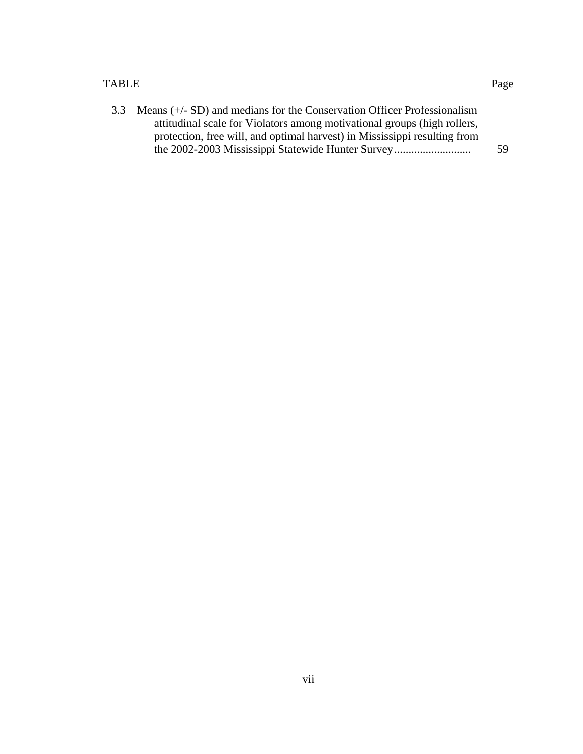#### TABLE Page

| 3.3 Means (+/- SD) and medians for the Conservation Officer Professionalism |     |
|-----------------------------------------------------------------------------|-----|
| attitudinal scale for Violators among motivational groups (high rollers,    |     |
| protection, free will, and optimal harvest) in Mississippi resulting from   |     |
| the 2002-2003 Mississippi Statewide Hunter Survey                           | 59. |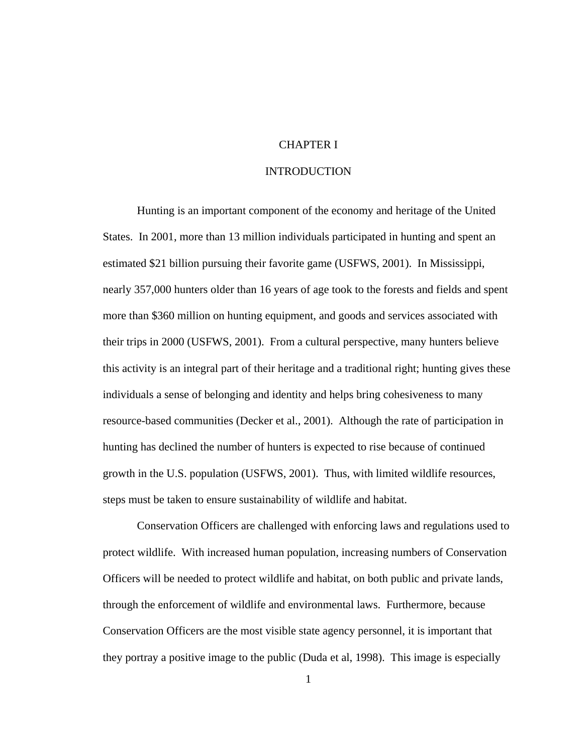## CHAPTER I

#### INTRODUCTION

 Hunting is an important component of the economy and heritage of the United States. In 2001, more than 13 million individuals participated in hunting and spent an estimated \$21 billion pursuing their favorite game (USFWS, 2001). In Mississippi, nearly 357,000 hunters older than 16 years of age took to the forests and fields and spent more than \$360 million on hunting equipment, and goods and services associated with their trips in 2000 (USFWS, 2001). From a cultural perspective, many hunters believe this activity is an integral part of their heritage and a traditional right; hunting gives these individuals a sense of belonging and identity and helps bring cohesiveness to many resource-based communities (Decker et al., 2001). Although the rate of participation in hunting has declined the number of hunters is expected to rise because of continued growth in the U.S. population (USFWS, 2001). Thus, with limited wildlife resources, steps must be taken to ensure sustainability of wildlife and habitat.

 Conservation Officers are challenged with enforcing laws and regulations used to protect wildlife. With increased human population, increasing numbers of Conservation Officers will be needed to protect wildlife and habitat, on both public and private lands, through the enforcement of wildlife and environmental laws. Furthermore, because Conservation Officers are the most visible state agency personnel, it is important that they portray a positive image to the public (Duda et al, 1998). This image is especially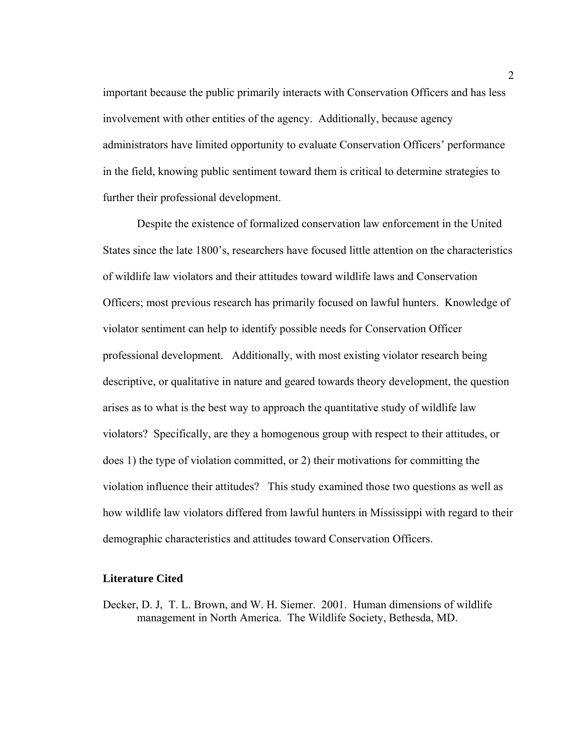important because the public primarily interacts with Conservation Officers and has less involvement with other entities of the agency. Additionally, because agency administrators have limited opportunity to evaluate Conservation Officers' performance in the field, knowing public sentiment toward them is critical to determine strategies to further their professional development.

 Despite the existence of formalized conservation law enforcement in the United States since the late 1800's, researchers have focused little attention on the characteristics of wildlife law violators and their attitudes toward wildlife laws and Conservation Officers; most previous research has primarily focused on lawful hunters. Knowledge of violator sentiment can help to identify possible needs for Conservation Officer professional development. Additionally, with most existing violator research being descriptive, or qualitative in nature and geared towards theory development, the question arises as to what is the best way to approach the quantitative study of wildlife law violators? Specifically, are they a homogenous group with respect to their attitudes, or does 1) the type of violation committed, or 2) their motivations for committing the violation influence their attitudes? This study examined those two questions as well as how wildlife law violators differed from lawful hunters in Mississippi with regard to their demographic characteristics and attitudes toward Conservation Officers.

#### **Literature Cited**

Decker, D. J, T. L. Brown, and W. H. Siemer. 2001. Human dimensions of wildlife management in North America. The Wildlife Society, Bethesda, MD.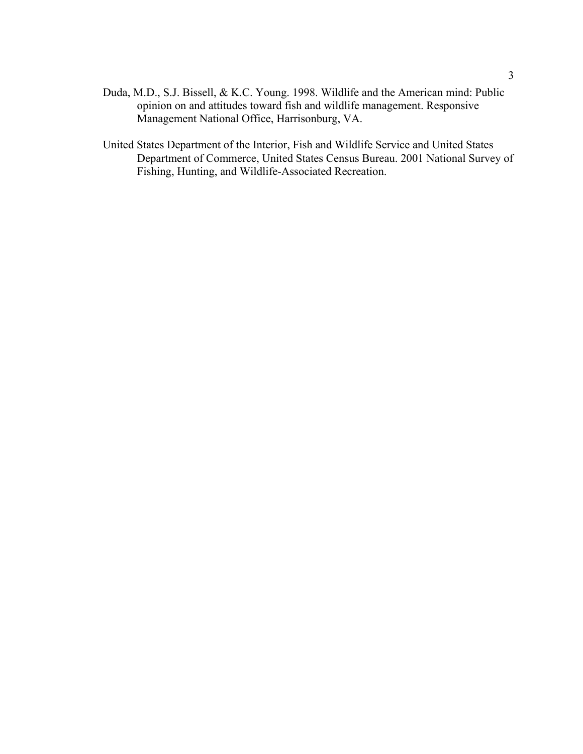- Duda, M.D., S.J. Bissell, & K.C. Young. 1998. Wildlife and the American mind: Public opinion on and attitudes toward fish and wildlife management. Responsive Management National Office, Harrisonburg, VA.
- United States Department of the Interior, Fish and Wildlife Service and United States Department of Commerce, United States Census Bureau. 2001 National Survey of Fishing, Hunting, and Wildlife-Associated Recreation.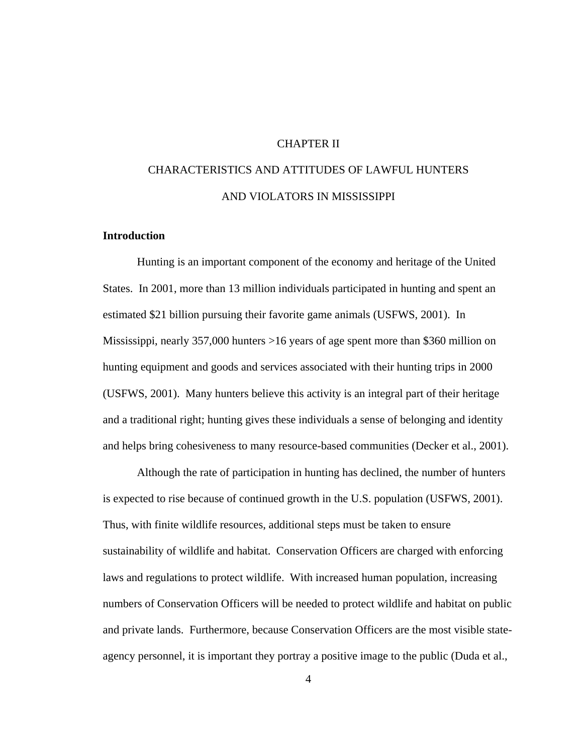## CHAPTER II

# CHARACTERISTICS AND ATTITUDES OF LAWFUL HUNTERS AND VIOLATORS IN MISSISSIPPI

# **Introduction**

 Hunting is an important component of the economy and heritage of the United States. In 2001, more than 13 million individuals participated in hunting and spent an estimated \$21 billion pursuing their favorite game animals (USFWS, 2001). In Mississippi, nearly 357,000 hunters >16 years of age spent more than \$360 million on hunting equipment and goods and services associated with their hunting trips in 2000 (USFWS, 2001). Many hunters believe this activity is an integral part of their heritage and a traditional right; hunting gives these individuals a sense of belonging and identity and helps bring cohesiveness to many resource-based communities (Decker et al., 2001).

 Although the rate of participation in hunting has declined, the number of hunters is expected to rise because of continued growth in the U.S. population (USFWS, 2001). Thus, with finite wildlife resources, additional steps must be taken to ensure sustainability of wildlife and habitat. Conservation Officers are charged with enforcing laws and regulations to protect wildlife. With increased human population, increasing numbers of Conservation Officers will be needed to protect wildlife and habitat on public and private lands. Furthermore, because Conservation Officers are the most visible stateagency personnel, it is important they portray a positive image to the public (Duda et al.,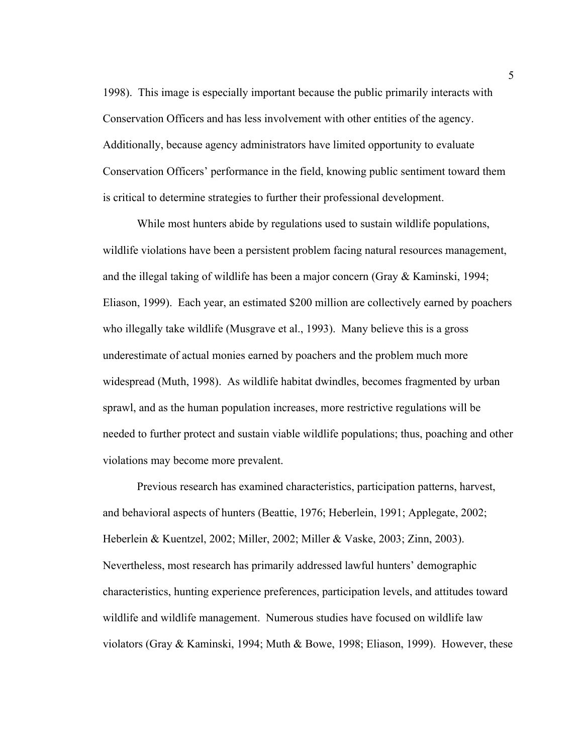1998). This image is especially important because the public primarily interacts with Conservation Officers and has less involvement with other entities of the agency. Additionally, because agency administrators have limited opportunity to evaluate Conservation Officers' performance in the field, knowing public sentiment toward them is critical to determine strategies to further their professional development.

While most hunters abide by regulations used to sustain wildlife populations, wildlife violations have been a persistent problem facing natural resources management, and the illegal taking of wildlife has been a major concern (Gray & Kaminski, 1994; Eliason, 1999). Each year, an estimated \$200 million are collectively earned by poachers who illegally take wildlife (Musgrave et al., 1993). Many believe this is a gross underestimate of actual monies earned by poachers and the problem much more widespread (Muth, 1998). As wildlife habitat dwindles, becomes fragmented by urban sprawl, and as the human population increases, more restrictive regulations will be needed to further protect and sustain viable wildlife populations; thus, poaching and other violations may become more prevalent.

Previous research has examined characteristics, participation patterns, harvest, and behavioral aspects of hunters (Beattie, 1976; Heberlein, 1991; Applegate, 2002; Heberlein & Kuentzel, 2002; Miller, 2002; Miller & Vaske, 2003; Zinn, 2003). Nevertheless, most research has primarily addressed lawful hunters' demographic characteristics, hunting experience preferences, participation levels, and attitudes toward wildlife and wildlife management. Numerous studies have focused on wildlife law violators (Gray & Kaminski, 1994; Muth & Bowe, 1998; Eliason, 1999). However, these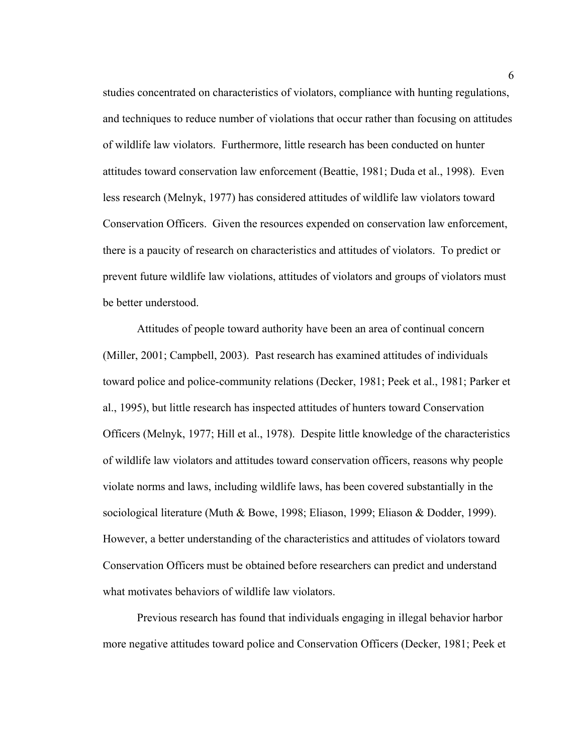studies concentrated on characteristics of violators, compliance with hunting regulations, and techniques to reduce number of violations that occur rather than focusing on attitudes of wildlife law violators. Furthermore, little research has been conducted on hunter attitudes toward conservation law enforcement (Beattie, 1981; Duda et al., 1998). Even less research (Melnyk, 1977) has considered attitudes of wildlife law violators toward Conservation Officers. Given the resources expended on conservation law enforcement, there is a paucity of research on characteristics and attitudes of violators. To predict or prevent future wildlife law violations, attitudes of violators and groups of violators must be better understood.

Attitudes of people toward authority have been an area of continual concern (Miller, 2001; Campbell, 2003). Past research has examined attitudes of individuals toward police and police-community relations (Decker, 1981; Peek et al., 1981; Parker et al., 1995), but little research has inspected attitudes of hunters toward Conservation Officers (Melnyk, 1977; Hill et al., 1978). Despite little knowledge of the characteristics of wildlife law violators and attitudes toward conservation officers, reasons why people violate norms and laws, including wildlife laws, has been covered substantially in the sociological literature (Muth & Bowe, 1998; Eliason, 1999; Eliason & Dodder, 1999). However, a better understanding of the characteristics and attitudes of violators toward Conservation Officers must be obtained before researchers can predict and understand what motivates behaviors of wildlife law violators.

 Previous research has found that individuals engaging in illegal behavior harbor more negative attitudes toward police and Conservation Officers (Decker, 1981; Peek et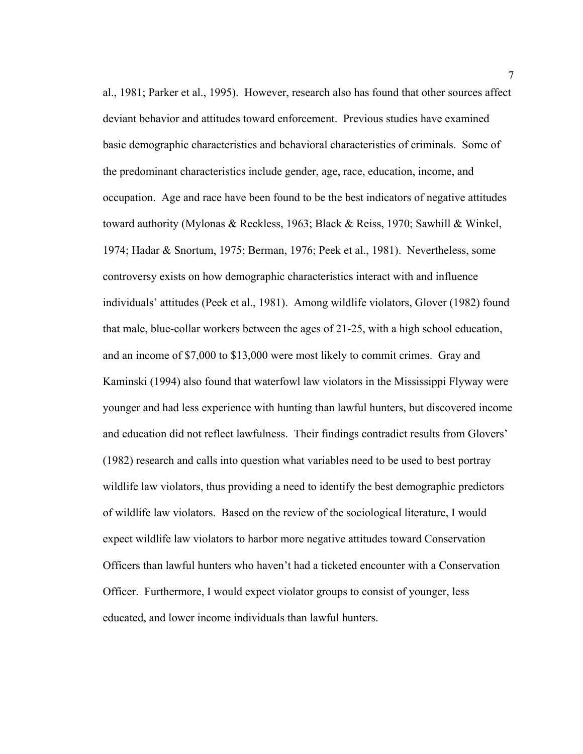al., 1981; Parker et al., 1995). However, research also has found that other sources affect deviant behavior and attitudes toward enforcement. Previous studies have examined basic demographic characteristics and behavioral characteristics of criminals. Some of the predominant characteristics include gender, age, race, education, income, and occupation. Age and race have been found to be the best indicators of negative attitudes toward authority (Mylonas & Reckless, 1963; Black & Reiss, 1970; Sawhill & Winkel, 1974; Hadar & Snortum, 1975; Berman, 1976; Peek et al., 1981). Nevertheless, some controversy exists on how demographic characteristics interact with and influence individuals' attitudes (Peek et al., 1981). Among wildlife violators, Glover (1982) found that male, blue-collar workers between the ages of 21-25, with a high school education, and an income of \$7,000 to \$13,000 were most likely to commit crimes. Gray and Kaminski (1994) also found that waterfowl law violators in the Mississippi Flyway were younger and had less experience with hunting than lawful hunters, but discovered income and education did not reflect lawfulness. Their findings contradict results from Glovers' (1982) research and calls into question what variables need to be used to best portray wildlife law violators, thus providing a need to identify the best demographic predictors of wildlife law violators. Based on the review of the sociological literature, I would expect wildlife law violators to harbor more negative attitudes toward Conservation Officers than lawful hunters who haven't had a ticketed encounter with a Conservation Officer. Furthermore, I would expect violator groups to consist of younger, less educated, and lower income individuals than lawful hunters.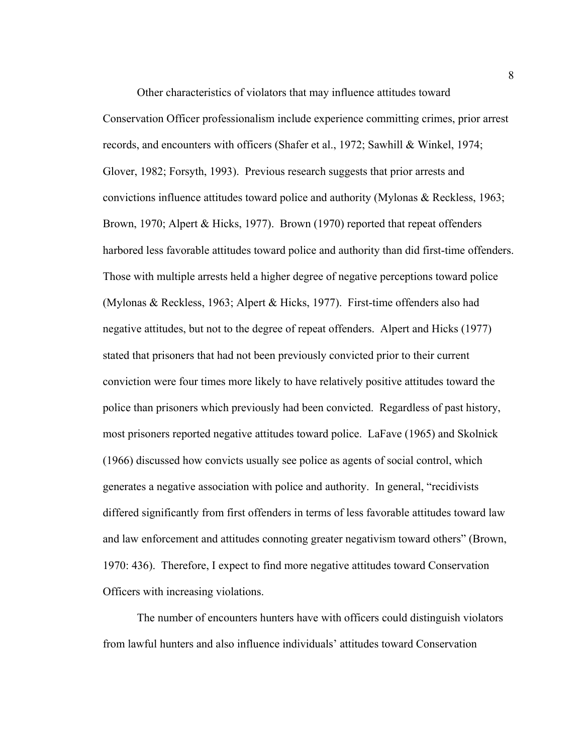Other characteristics of violators that may influence attitudes toward Conservation Officer professionalism include experience committing crimes, prior arrest records, and encounters with officers (Shafer et al., 1972; Sawhill & Winkel, 1974; Glover, 1982; Forsyth, 1993). Previous research suggests that prior arrests and convictions influence attitudes toward police and authority (Mylonas & Reckless, 1963; Brown, 1970; Alpert & Hicks, 1977). Brown (1970) reported that repeat offenders harbored less favorable attitudes toward police and authority than did first-time offenders. Those with multiple arrests held a higher degree of negative perceptions toward police (Mylonas & Reckless, 1963; Alpert & Hicks, 1977). First-time offenders also had negative attitudes, but not to the degree of repeat offenders. Alpert and Hicks (1977) stated that prisoners that had not been previously convicted prior to their current conviction were four times more likely to have relatively positive attitudes toward the police than prisoners which previously had been convicted. Regardless of past history, most prisoners reported negative attitudes toward police. LaFave (1965) and Skolnick (1966) discussed how convicts usually see police as agents of social control, which generates a negative association with police and authority. In general, "recidivists differed significantly from first offenders in terms of less favorable attitudes toward law and law enforcement and attitudes connoting greater negativism toward others" (Brown, 1970: 436). Therefore, I expect to find more negative attitudes toward Conservation Officers with increasing violations.

The number of encounters hunters have with officers could distinguish violators from lawful hunters and also influence individuals' attitudes toward Conservation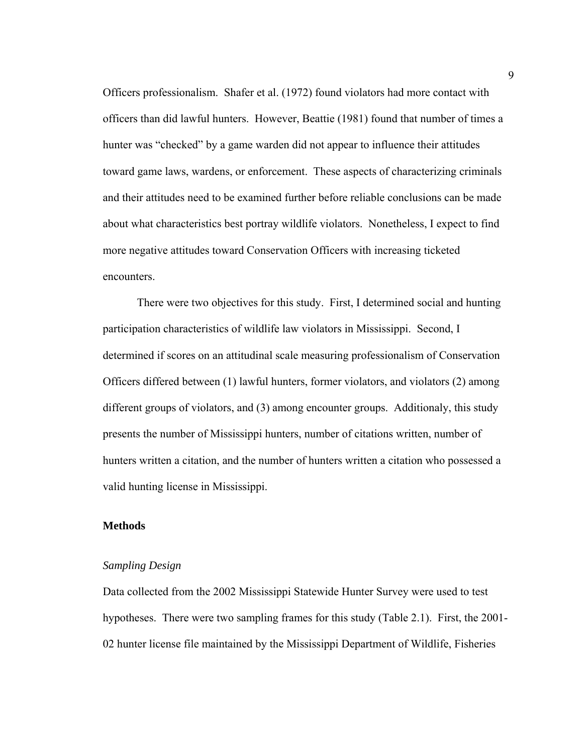Officers professionalism. Shafer et al. (1972) found violators had more contact with officers than did lawful hunters. However, Beattie (1981) found that number of times a hunter was "checked" by a game warden did not appear to influence their attitudes toward game laws, wardens, or enforcement. These aspects of characterizing criminals and their attitudes need to be examined further before reliable conclusions can be made about what characteristics best portray wildlife violators. Nonetheless, I expect to find more negative attitudes toward Conservation Officers with increasing ticketed encounters.

There were two objectives for this study. First, I determined social and hunting participation characteristics of wildlife law violators in Mississippi. Second, I determined if scores on an attitudinal scale measuring professionalism of Conservation Officers differed between (1) lawful hunters, former violators, and violators (2) among different groups of violators, and (3) among encounter groups. Additionaly, this study presents the number of Mississippi hunters, number of citations written, number of hunters written a citation, and the number of hunters written a citation who possessed a valid hunting license in Mississippi.

#### **Methods**

## *Sampling Design*

Data collected from the 2002 Mississippi Statewide Hunter Survey were used to test hypotheses. There were two sampling frames for this study (Table 2.1). First, the 2001- 02 hunter license file maintained by the Mississippi Department of Wildlife, Fisheries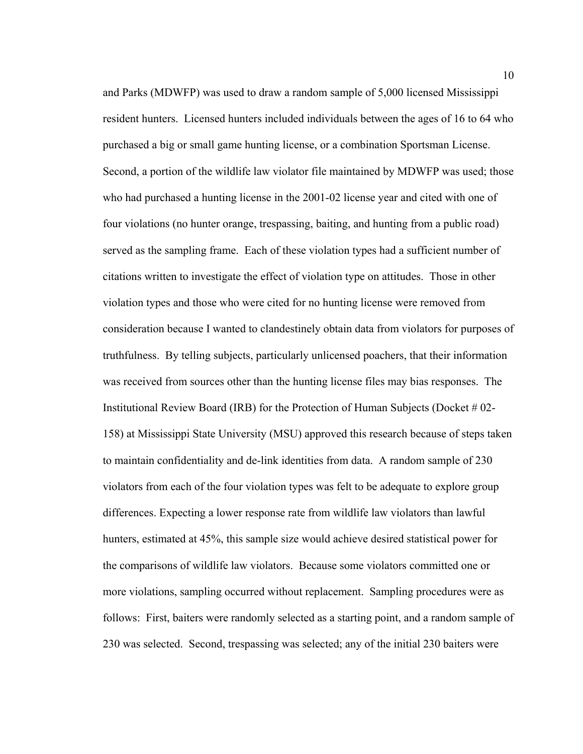and Parks (MDWFP) was used to draw a random sample of 5,000 licensed Mississippi resident hunters. Licensed hunters included individuals between the ages of 16 to 64 who purchased a big or small game hunting license, or a combination Sportsman License. Second, a portion of the wildlife law violator file maintained by MDWFP was used; those who had purchased a hunting license in the 2001-02 license year and cited with one of four violations (no hunter orange, trespassing, baiting, and hunting from a public road) served as the sampling frame. Each of these violation types had a sufficient number of citations written to investigate the effect of violation type on attitudes. Those in other violation types and those who were cited for no hunting license were removed from consideration because I wanted to clandestinely obtain data from violators for purposes of truthfulness. By telling subjects, particularly unlicensed poachers, that their information was received from sources other than the hunting license files may bias responses. The Institutional Review Board (IRB) for the Protection of Human Subjects (Docket # 02- 158) at Mississippi State University (MSU) approved this research because of steps taken to maintain confidentiality and de-link identities from data. A random sample of 230 violators from each of the four violation types was felt to be adequate to explore group differences. Expecting a lower response rate from wildlife law violators than lawful hunters, estimated at 45%, this sample size would achieve desired statistical power for the comparisons of wildlife law violators. Because some violators committed one or more violations, sampling occurred without replacement. Sampling procedures were as follows: First, baiters were randomly selected as a starting point, and a random sample of 230 was selected. Second, trespassing was selected; any of the initial 230 baiters were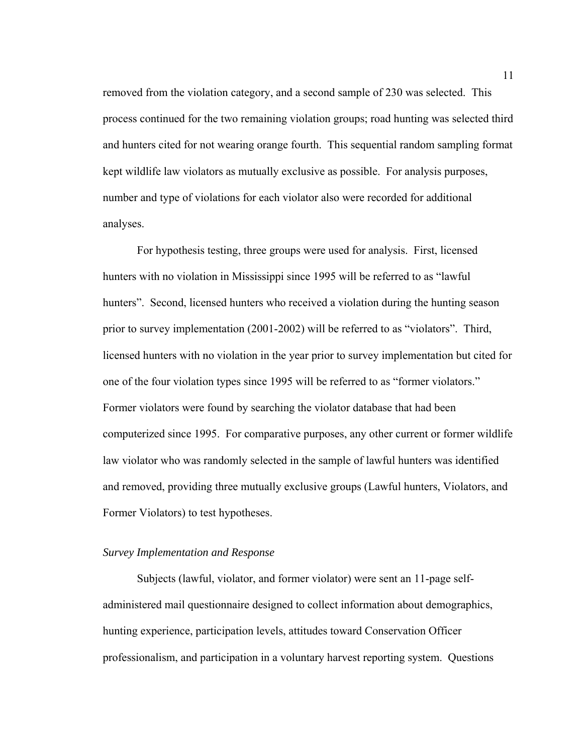removed from the violation category, and a second sample of 230 was selected. This process continued for the two remaining violation groups; road hunting was selected third and hunters cited for not wearing orange fourth. This sequential random sampling format kept wildlife law violators as mutually exclusive as possible. For analysis purposes, number and type of violations for each violator also were recorded for additional analyses.

For hypothesis testing, three groups were used for analysis. First, licensed hunters with no violation in Mississippi since 1995 will be referred to as "lawful hunters". Second, licensed hunters who received a violation during the hunting season prior to survey implementation (2001-2002) will be referred to as "violators". Third, licensed hunters with no violation in the year prior to survey implementation but cited for one of the four violation types since 1995 will be referred to as "former violators." Former violators were found by searching the violator database that had been computerized since 1995. For comparative purposes, any other current or former wildlife law violator who was randomly selected in the sample of lawful hunters was identified and removed, providing three mutually exclusive groups (Lawful hunters, Violators, and Former Violators) to test hypotheses.

## *Survey Implementation and Response*

Subjects (lawful, violator, and former violator) were sent an 11-page selfadministered mail questionnaire designed to collect information about demographics, hunting experience, participation levels, attitudes toward Conservation Officer professionalism, and participation in a voluntary harvest reporting system. Questions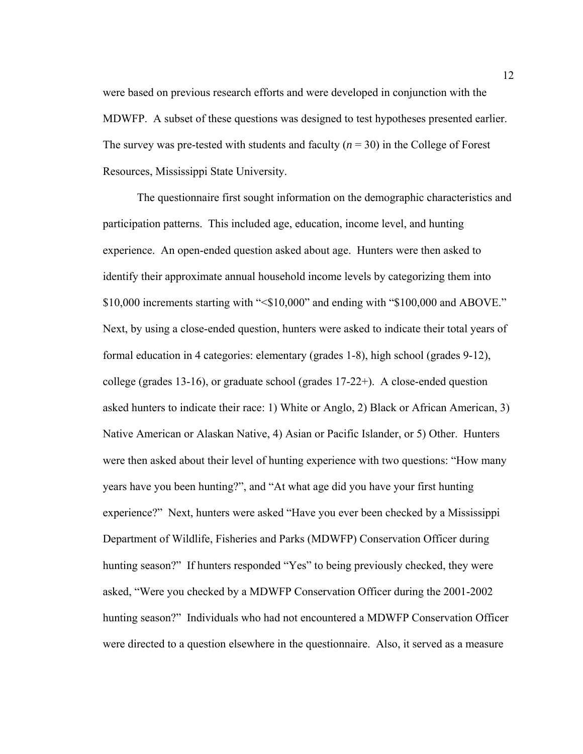were based on previous research efforts and were developed in conjunction with the MDWFP. A subset of these questions was designed to test hypotheses presented earlier. The survey was pre-tested with students and faculty  $(n = 30)$  in the College of Forest Resources, Mississippi State University.

The questionnaire first sought information on the demographic characteristics and participation patterns. This included age, education, income level, and hunting experience. An open-ended question asked about age. Hunters were then asked to identify their approximate annual household income levels by categorizing them into \$10,000 increments starting with "<\$10,000" and ending with "\$100,000 and ABOVE." Next, by using a close-ended question, hunters were asked to indicate their total years of formal education in 4 categories: elementary (grades 1-8), high school (grades 9-12), college (grades 13-16), or graduate school (grades 17-22+). A close-ended question asked hunters to indicate their race: 1) White or Anglo, 2) Black or African American, 3) Native American or Alaskan Native, 4) Asian or Pacific Islander, or 5) Other. Hunters were then asked about their level of hunting experience with two questions: "How many years have you been hunting?", and "At what age did you have your first hunting experience?" Next, hunters were asked "Have you ever been checked by a Mississippi Department of Wildlife, Fisheries and Parks (MDWFP) Conservation Officer during hunting season?" If hunters responded "Yes" to being previously checked, they were asked, "Were you checked by a MDWFP Conservation Officer during the 2001-2002 hunting season?" Individuals who had not encountered a MDWFP Conservation Officer were directed to a question elsewhere in the questionnaire. Also, it served as a measure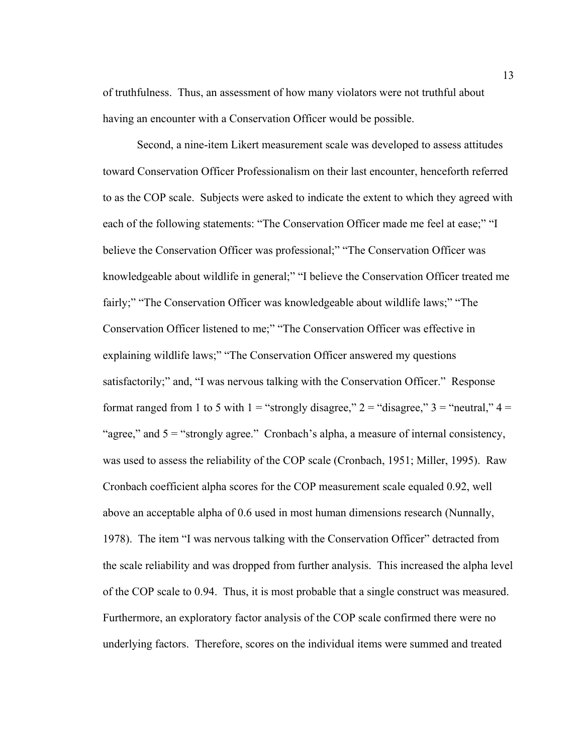of truthfulness. Thus, an assessment of how many violators were not truthful about having an encounter with a Conservation Officer would be possible.

Second, a nine-item Likert measurement scale was developed to assess attitudes toward Conservation Officer Professionalism on their last encounter, henceforth referred to as the COP scale. Subjects were asked to indicate the extent to which they agreed with each of the following statements: "The Conservation Officer made me feel at ease;" "I believe the Conservation Officer was professional;" "The Conservation Officer was knowledgeable about wildlife in general;" "I believe the Conservation Officer treated me fairly;" "The Conservation Officer was knowledgeable about wildlife laws;" "The Conservation Officer listened to me;" "The Conservation Officer was effective in explaining wildlife laws;" "The Conservation Officer answered my questions satisfactorily;" and, "I was nervous talking with the Conservation Officer." Response format ranged from 1 to 5 with  $1 =$  "strongly disagree,"  $2 =$  "disagree,"  $3 =$  "neutral,"  $4 =$ "agree," and  $5 =$ "strongly agree." Cronbach's alpha, a measure of internal consistency, was used to assess the reliability of the COP scale (Cronbach, 1951; Miller, 1995). Raw Cronbach coefficient alpha scores for the COP measurement scale equaled 0.92, well above an acceptable alpha of 0.6 used in most human dimensions research (Nunnally, 1978). The item "I was nervous talking with the Conservation Officer" detracted from the scale reliability and was dropped from further analysis. This increased the alpha level of the COP scale to 0.94. Thus, it is most probable that a single construct was measured. Furthermore, an exploratory factor analysis of the COP scale confirmed there were no underlying factors. Therefore, scores on the individual items were summed and treated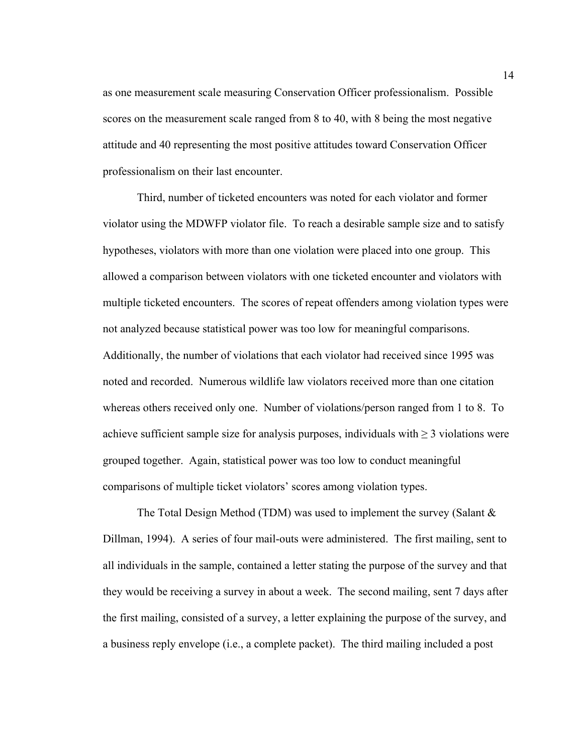as one measurement scale measuring Conservation Officer professionalism. Possible scores on the measurement scale ranged from 8 to 40, with 8 being the most negative attitude and 40 representing the most positive attitudes toward Conservation Officer professionalism on their last encounter.

Third, number of ticketed encounters was noted for each violator and former violator using the MDWFP violator file. To reach a desirable sample size and to satisfy hypotheses, violators with more than one violation were placed into one group. This allowed a comparison between violators with one ticketed encounter and violators with multiple ticketed encounters. The scores of repeat offenders among violation types were not analyzed because statistical power was too low for meaningful comparisons. Additionally, the number of violations that each violator had received since 1995 was noted and recorded. Numerous wildlife law violators received more than one citation whereas others received only one. Number of violations/person ranged from 1 to 8. To achieve sufficient sample size for analysis purposes, individuals with  $\geq$  3 violations were grouped together. Again, statistical power was too low to conduct meaningful comparisons of multiple ticket violators' scores among violation types.

The Total Design Method (TDM) was used to implement the survey (Salant & Dillman, 1994). A series of four mail-outs were administered. The first mailing, sent to all individuals in the sample, contained a letter stating the purpose of the survey and that they would be receiving a survey in about a week. The second mailing, sent 7 days after the first mailing, consisted of a survey, a letter explaining the purpose of the survey, and a business reply envelope (i.e., a complete packet). The third mailing included a post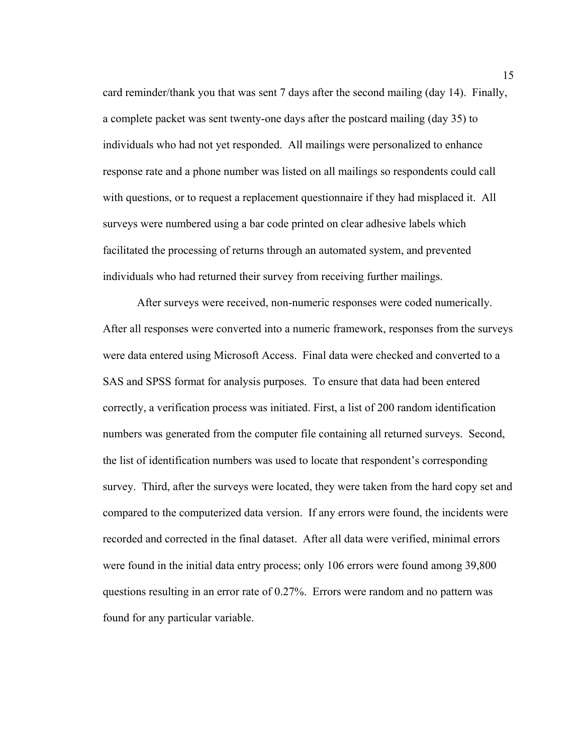card reminder/thank you that was sent 7 days after the second mailing (day 14). Finally, a complete packet was sent twenty-one days after the postcard mailing (day 35) to individuals who had not yet responded. All mailings were personalized to enhance response rate and a phone number was listed on all mailings so respondents could call with questions, or to request a replacement questionnaire if they had misplaced it. All surveys were numbered using a bar code printed on clear adhesive labels which facilitated the processing of returns through an automated system, and prevented individuals who had returned their survey from receiving further mailings.

After surveys were received, non-numeric responses were coded numerically. After all responses were converted into a numeric framework, responses from the surveys were data entered using Microsoft Access. Final data were checked and converted to a SAS and SPSS format for analysis purposes. To ensure that data had been entered correctly, a verification process was initiated. First, a list of 200 random identification numbers was generated from the computer file containing all returned surveys. Second, the list of identification numbers was used to locate that respondent's corresponding survey. Third, after the surveys were located, they were taken from the hard copy set and compared to the computerized data version. If any errors were found, the incidents were recorded and corrected in the final dataset. After all data were verified, minimal errors were found in the initial data entry process; only 106 errors were found among 39,800 questions resulting in an error rate of 0.27%. Errors were random and no pattern was found for any particular variable.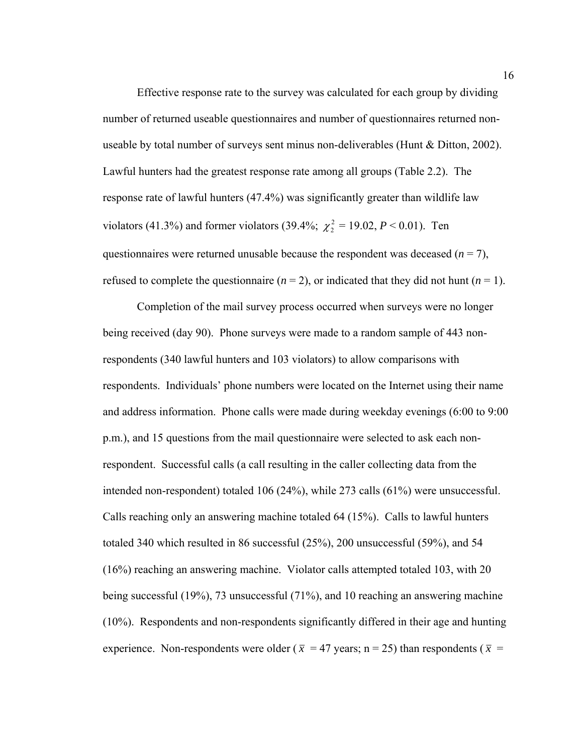Effective response rate to the survey was calculated for each group by dividing number of returned useable questionnaires and number of questionnaires returned nonuseable by total number of surveys sent minus non-deliverables (Hunt & Ditton, 2002). Lawful hunters had the greatest response rate among all groups (Table 2.2). The response rate of lawful hunters (47.4%) was significantly greater than wildlife law violators (41.3%) and former violators (39.4%;  $\chi^2$  = 19.02, *P* < 0.01). Ten questionnaires were returned unusable because the respondent was deceased  $(n = 7)$ , refused to complete the questionnaire  $(n = 2)$ , or indicated that they did not hunt  $(n = 1)$ .

Completion of the mail survey process occurred when surveys were no longer being received (day 90). Phone surveys were made to a random sample of 443 nonrespondents (340 lawful hunters and 103 violators) to allow comparisons with respondents. Individuals' phone numbers were located on the Internet using their name and address information. Phone calls were made during weekday evenings (6:00 to 9:00 p.m.), and 15 questions from the mail questionnaire were selected to ask each nonrespondent. Successful calls (a call resulting in the caller collecting data from the intended non-respondent) totaled 106 (24%), while 273 calls (61%) were unsuccessful. Calls reaching only an answering machine totaled 64 (15%). Calls to lawful hunters totaled 340 which resulted in 86 successful (25%), 200 unsuccessful (59%), and 54 (16%) reaching an answering machine. Violator calls attempted totaled 103, with 20 being successful (19%), 73 unsuccessful (71%), and 10 reaching an answering machine (10%). Respondents and non-respondents significantly differed in their age and hunting experience. Non-respondents were older ( $\bar{x}$  = 47 years; n = 25) than respondents ( $\bar{x}$  =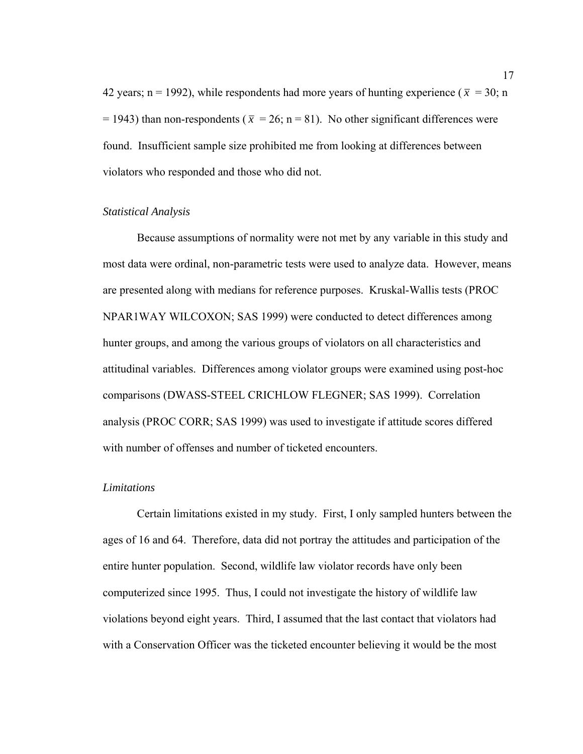42 years; n = 1992), while respondents had more years of hunting experience ( $\bar{x}$  = 30; n  $=$  1943) than non-respondents ( $\bar{x}$  = 26; n = 81). No other significant differences were found. Insufficient sample size prohibited me from looking at differences between violators who responded and those who did not.

#### *Statistical Analysis*

Because assumptions of normality were not met by any variable in this study and most data were ordinal, non-parametric tests were used to analyze data. However, means are presented along with medians for reference purposes. Kruskal-Wallis tests (PROC NPAR1WAY WILCOXON; SAS 1999) were conducted to detect differences among hunter groups, and among the various groups of violators on all characteristics and attitudinal variables. Differences among violator groups were examined using post-hoc comparisons (DWASS-STEEL CRICHLOW FLEGNER; SAS 1999). Correlation analysis (PROC CORR; SAS 1999) was used to investigate if attitude scores differed with number of offenses and number of ticketed encounters.

# *Limitations*

Certain limitations existed in my study. First, I only sampled hunters between the ages of 16 and 64. Therefore, data did not portray the attitudes and participation of the entire hunter population. Second, wildlife law violator records have only been computerized since 1995. Thus, I could not investigate the history of wildlife law violations beyond eight years. Third, I assumed that the last contact that violators had with a Conservation Officer was the ticketed encounter believing it would be the most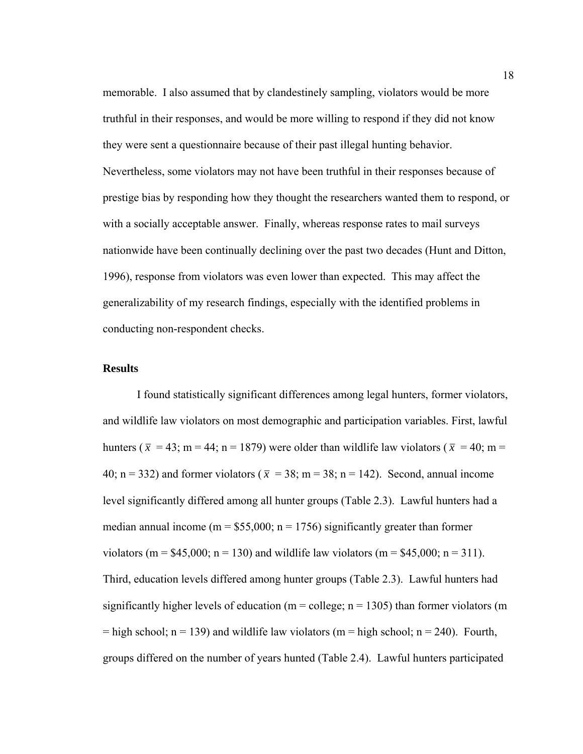memorable. I also assumed that by clandestinely sampling, violators would be more truthful in their responses, and would be more willing to respond if they did not know they were sent a questionnaire because of their past illegal hunting behavior. Nevertheless, some violators may not have been truthful in their responses because of prestige bias by responding how they thought the researchers wanted them to respond, or with a socially acceptable answer. Finally, whereas response rates to mail surveys nationwide have been continually declining over the past two decades (Hunt and Ditton, 1996), response from violators was even lower than expected. This may affect the generalizability of my research findings, especially with the identified problems in conducting non-respondent checks.

# **Results**

I found statistically significant differences among legal hunters, former violators, and wildlife law violators on most demographic and participation variables. First, lawful hunters ( $\bar{x}$  = 43; m = 44; n = 1879) were older than wildlife law violators ( $\bar{x}$  = 40; m = 40; n = 332) and former violators ( $\bar{x}$  = 38; m = 38; n = 142). Second, annual income level significantly differed among all hunter groups (Table 2.3). Lawful hunters had a median annual income (m =  $$55,000$ ; n = 1756) significantly greater than former violators (m =  $$45,000$ ; n = 130) and wildlife law violators (m =  $$45,000$ ; n = 311). Third, education levels differed among hunter groups (Table 2.3). Lawful hunters had significantly higher levels of education ( $m =$  college;  $n = 1305$ ) than former violators (m  $=$  high school; n = 139) and wildlife law violators (m = high school; n = 240). Fourth, groups differed on the number of years hunted (Table 2.4). Lawful hunters participated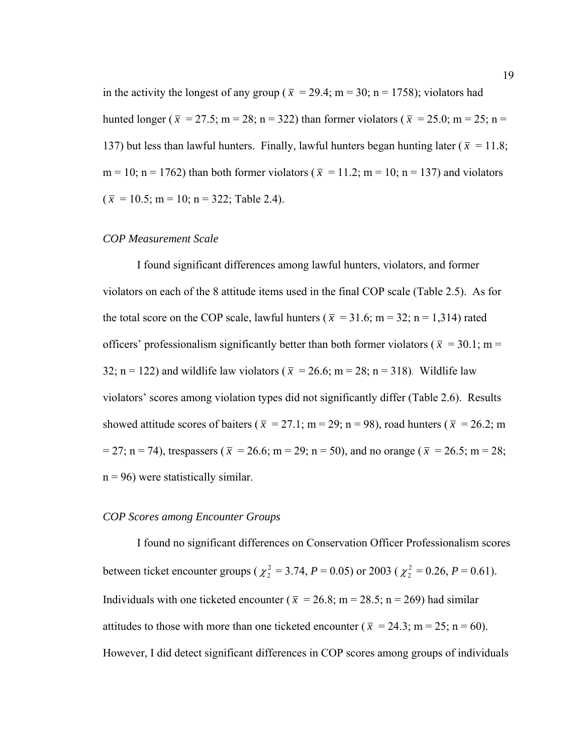in the activity the longest of any group ( $\bar{x}$  = 29.4; m = 30; n = 1758); violators had hunted longer ( $\bar{x}$  = 27.5; m = 28; n = 322) than former violators ( $\bar{x}$  = 25.0; m = 25; n = 137) but less than lawful hunters. Finally, lawful hunters began hunting later ( $\bar{x}$  = 11.8; m = 10; n = 1762) than both former violators ( $\bar{x}$  = 11.2; m = 10; n = 137) and violators  $(\bar{x} = 10.5; m = 10; n = 322;$  Table 2.4).

#### *COP Measurement Scale*

 I found significant differences among lawful hunters, violators, and former violators on each of the 8 attitude items used in the final COP scale (Table 2.5). As for the total score on the COP scale, lawful hunters ( $\bar{x}$  = 31.6; m = 32; n = 1,314) rated officers' professionalism significantly better than both former violators ( $\bar{x}$  = 30.1; m = 32; n = 122) and wildlife law violators ( $\bar{x}$  = 26.6; m = 28; n = 318). Wildlife law violators' scores among violation types did not significantly differ (Table 2.6). Results showed attitude scores of baiters ( $\bar{x} = 27.1$ ; m = 29; n = 98), road hunters ( $\bar{x} = 26.2$ ; m  $= 27$ ; n = 74), trespassers ( $\bar{x}$  = 26.6; m = 29; n = 50), and no orange ( $\bar{x}$  = 26.5; m = 28;  $n = 96$ ) were statistically similar.

#### *COP Scores among Encounter Groups*

 I found no significant differences on Conservation Officer Professionalism scores between ticket encounter groups ( $\chi^2 = 3.74$ , *P* = 0.05) or 2003 ( $\chi^2 = 0.26$ , *P* = 0.61). Individuals with one ticketed encounter ( $\bar{x} = 26.8$ ; m = 28.5; n = 269) had similar attitudes to those with more than one ticketed encounter ( $\bar{x} = 24.3$ ; m = 25; n = 60). However, I did detect significant differences in COP scores among groups of individuals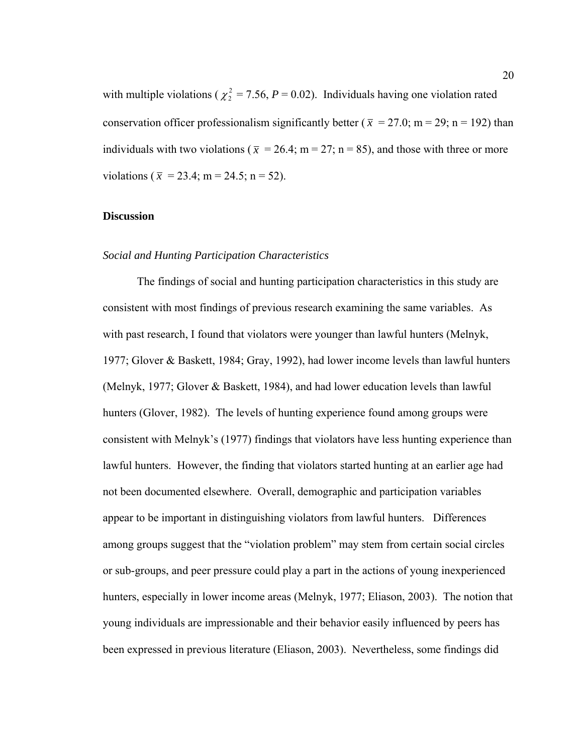with multiple violations ( $\chi^2$  = 7.56, *P* = 0.02). Individuals having one violation rated conservation officer professionalism significantly better ( $\bar{x} = 27.0$ ; m = 29; n = 192) than individuals with two violations ( $\bar{x}$  = 26.4; m = 27; n = 85), and those with three or more violations ( $\bar{x}$  = 23.4; m = 24.5; n = 52).

#### **Discussion**

#### *Social and Hunting Participation Characteristics*

 The findings of social and hunting participation characteristics in this study are consistent with most findings of previous research examining the same variables. As with past research, I found that violators were younger than lawful hunters (Melnyk, 1977; Glover & Baskett, 1984; Gray, 1992), had lower income levels than lawful hunters (Melnyk, 1977; Glover & Baskett, 1984), and had lower education levels than lawful hunters (Glover, 1982). The levels of hunting experience found among groups were consistent with Melnyk's (1977) findings that violators have less hunting experience than lawful hunters. However, the finding that violators started hunting at an earlier age had not been documented elsewhere. Overall, demographic and participation variables appear to be important in distinguishing violators from lawful hunters. Differences among groups suggest that the "violation problem" may stem from certain social circles or sub-groups, and peer pressure could play a part in the actions of young inexperienced hunters, especially in lower income areas (Melnyk, 1977; Eliason, 2003). The notion that young individuals are impressionable and their behavior easily influenced by peers has been expressed in previous literature (Eliason, 2003). Nevertheless, some findings did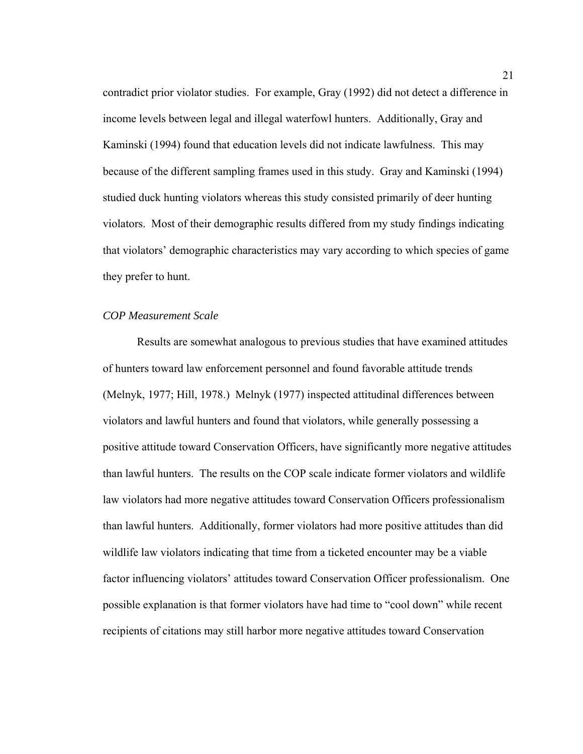contradict prior violator studies. For example, Gray (1992) did not detect a difference in income levels between legal and illegal waterfowl hunters. Additionally, Gray and Kaminski (1994) found that education levels did not indicate lawfulness. This may because of the different sampling frames used in this study. Gray and Kaminski (1994) studied duck hunting violators whereas this study consisted primarily of deer hunting violators. Most of their demographic results differed from my study findings indicating that violators' demographic characteristics may vary according to which species of game they prefer to hunt.

#### *COP Measurement Scale*

 Results are somewhat analogous to previous studies that have examined attitudes of hunters toward law enforcement personnel and found favorable attitude trends (Melnyk, 1977; Hill, 1978.) Melnyk (1977) inspected attitudinal differences between violators and lawful hunters and found that violators, while generally possessing a positive attitude toward Conservation Officers, have significantly more negative attitudes than lawful hunters. The results on the COP scale indicate former violators and wildlife law violators had more negative attitudes toward Conservation Officers professionalism than lawful hunters. Additionally, former violators had more positive attitudes than did wildlife law violators indicating that time from a ticketed encounter may be a viable factor influencing violators' attitudes toward Conservation Officer professionalism. One possible explanation is that former violators have had time to "cool down" while recent recipients of citations may still harbor more negative attitudes toward Conservation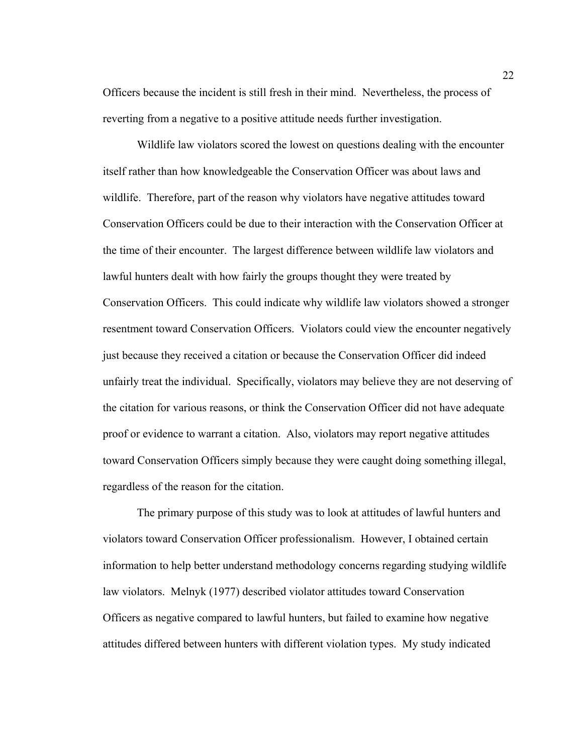Officers because the incident is still fresh in their mind. Nevertheless, the process of reverting from a negative to a positive attitude needs further investigation.

Wildlife law violators scored the lowest on questions dealing with the encounter itself rather than how knowledgeable the Conservation Officer was about laws and wildlife. Therefore, part of the reason why violators have negative attitudes toward Conservation Officers could be due to their interaction with the Conservation Officer at the time of their encounter. The largest difference between wildlife law violators and lawful hunters dealt with how fairly the groups thought they were treated by Conservation Officers. This could indicate why wildlife law violators showed a stronger resentment toward Conservation Officers. Violators could view the encounter negatively just because they received a citation or because the Conservation Officer did indeed unfairly treat the individual. Specifically, violators may believe they are not deserving of the citation for various reasons, or think the Conservation Officer did not have adequate proof or evidence to warrant a citation. Also, violators may report negative attitudes toward Conservation Officers simply because they were caught doing something illegal, regardless of the reason for the citation.

The primary purpose of this study was to look at attitudes of lawful hunters and violators toward Conservation Officer professionalism. However, I obtained certain information to help better understand methodology concerns regarding studying wildlife law violators. Melnyk (1977) described violator attitudes toward Conservation Officers as negative compared to lawful hunters, but failed to examine how negative attitudes differed between hunters with different violation types. My study indicated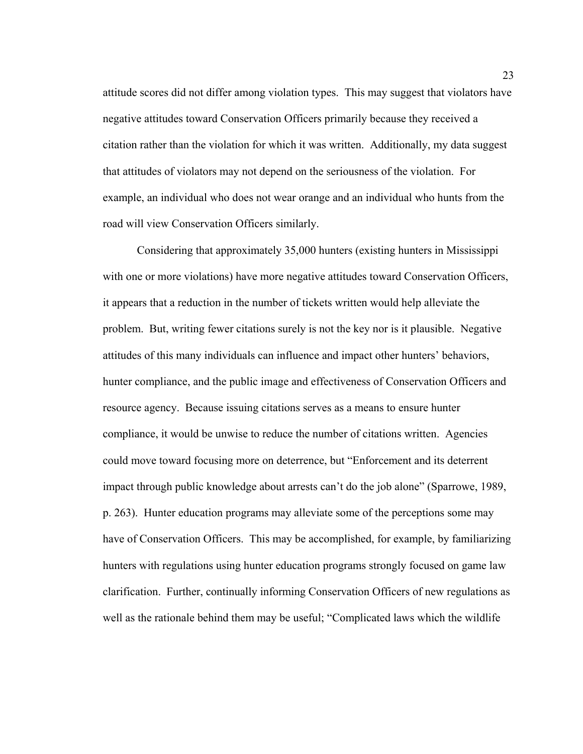attitude scores did not differ among violation types. This may suggest that violators have negative attitudes toward Conservation Officers primarily because they received a citation rather than the violation for which it was written. Additionally, my data suggest that attitudes of violators may not depend on the seriousness of the violation. For example, an individual who does not wear orange and an individual who hunts from the road will view Conservation Officers similarly.

Considering that approximately 35,000 hunters (existing hunters in Mississippi with one or more violations) have more negative attitudes toward Conservation Officers, it appears that a reduction in the number of tickets written would help alleviate the problem. But, writing fewer citations surely is not the key nor is it plausible. Negative attitudes of this many individuals can influence and impact other hunters' behaviors, hunter compliance, and the public image and effectiveness of Conservation Officers and resource agency. Because issuing citations serves as a means to ensure hunter compliance, it would be unwise to reduce the number of citations written. Agencies could move toward focusing more on deterrence, but "Enforcement and its deterrent impact through public knowledge about arrests can't do the job alone" (Sparrowe, 1989, p. 263). Hunter education programs may alleviate some of the perceptions some may have of Conservation Officers. This may be accomplished, for example, by familiarizing hunters with regulations using hunter education programs strongly focused on game law clarification. Further, continually informing Conservation Officers of new regulations as well as the rationale behind them may be useful; "Complicated laws which the wildlife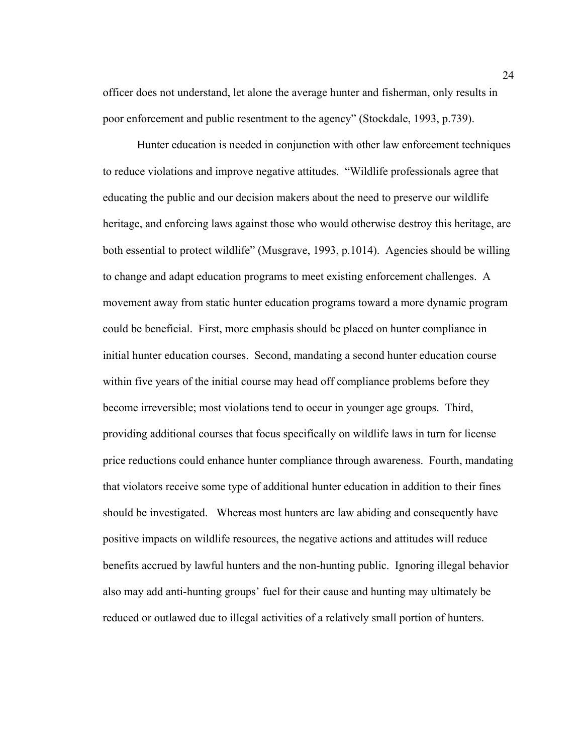officer does not understand, let alone the average hunter and fisherman, only results in poor enforcement and public resentment to the agency" (Stockdale, 1993, p.739).

Hunter education is needed in conjunction with other law enforcement techniques to reduce violations and improve negative attitudes. "Wildlife professionals agree that educating the public and our decision makers about the need to preserve our wildlife heritage, and enforcing laws against those who would otherwise destroy this heritage, are both essential to protect wildlife" (Musgrave, 1993, p.1014). Agencies should be willing to change and adapt education programs to meet existing enforcement challenges. A movement away from static hunter education programs toward a more dynamic program could be beneficial. First, more emphasis should be placed on hunter compliance in initial hunter education courses. Second, mandating a second hunter education course within five years of the initial course may head off compliance problems before they become irreversible; most violations tend to occur in younger age groups. Third, providing additional courses that focus specifically on wildlife laws in turn for license price reductions could enhance hunter compliance through awareness. Fourth, mandating that violators receive some type of additional hunter education in addition to their fines should be investigated. Whereas most hunters are law abiding and consequently have positive impacts on wildlife resources, the negative actions and attitudes will reduce benefits accrued by lawful hunters and the non-hunting public. Ignoring illegal behavior also may add anti-hunting groups' fuel for their cause and hunting may ultimately be reduced or outlawed due to illegal activities of a relatively small portion of hunters.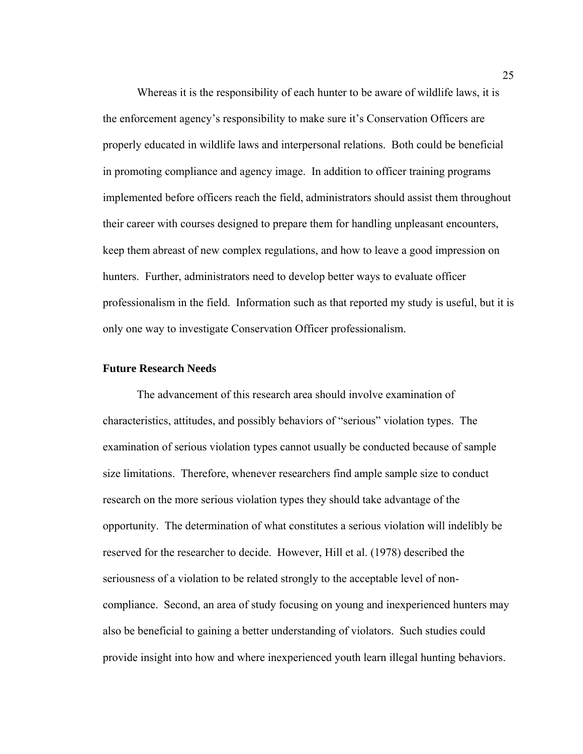Whereas it is the responsibility of each hunter to be aware of wildlife laws, it is the enforcement agency's responsibility to make sure it's Conservation Officers are properly educated in wildlife laws and interpersonal relations. Both could be beneficial in promoting compliance and agency image. In addition to officer training programs implemented before officers reach the field, administrators should assist them throughout their career with courses designed to prepare them for handling unpleasant encounters, keep them abreast of new complex regulations, and how to leave a good impression on hunters. Further, administrators need to develop better ways to evaluate officer professionalism in the field. Information such as that reported my study is useful, but it is only one way to investigate Conservation Officer professionalism.

### **Future Research Needs**

The advancement of this research area should involve examination of characteristics, attitudes, and possibly behaviors of "serious" violation types. The examination of serious violation types cannot usually be conducted because of sample size limitations. Therefore, whenever researchers find ample sample size to conduct research on the more serious violation types they should take advantage of the opportunity. The determination of what constitutes a serious violation will indelibly be reserved for the researcher to decide. However, Hill et al. (1978) described the seriousness of a violation to be related strongly to the acceptable level of noncompliance. Second, an area of study focusing on young and inexperienced hunters may also be beneficial to gaining a better understanding of violators. Such studies could provide insight into how and where inexperienced youth learn illegal hunting behaviors.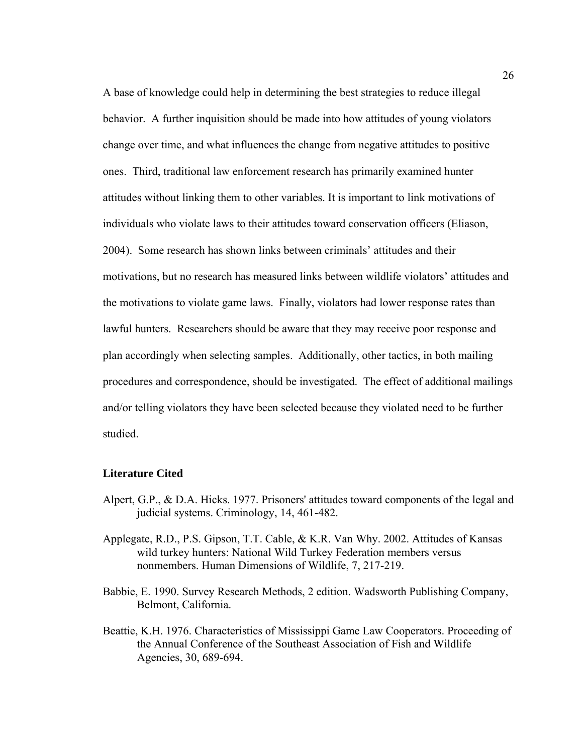A base of knowledge could help in determining the best strategies to reduce illegal behavior. A further inquisition should be made into how attitudes of young violators change over time, and what influences the change from negative attitudes to positive ones. Third, traditional law enforcement research has primarily examined hunter attitudes without linking them to other variables. It is important to link motivations of individuals who violate laws to their attitudes toward conservation officers (Eliason, 2004). Some research has shown links between criminals' attitudes and their motivations, but no research has measured links between wildlife violators' attitudes and the motivations to violate game laws. Finally, violators had lower response rates than lawful hunters. Researchers should be aware that they may receive poor response and plan accordingly when selecting samples. Additionally, other tactics, in both mailing procedures and correspondence, should be investigated. The effect of additional mailings and/or telling violators they have been selected because they violated need to be further studied.

#### **Literature Cited**

- Alpert, G.P., & D.A. Hicks. 1977. Prisoners' attitudes toward components of the legal and judicial systems. Criminology, 14, 461-482.
- Applegate, R.D., P.S. Gipson, T.T. Cable, & K.R. Van Why. 2002. Attitudes of Kansas wild turkey hunters: National Wild Turkey Federation members versus nonmembers. Human Dimensions of Wildlife, 7, 217-219.
- Babbie, E. 1990. Survey Research Methods, 2 edition. Wadsworth Publishing Company, Belmont, California.
- Beattie, K.H. 1976. Characteristics of Mississippi Game Law Cooperators. Proceeding of the Annual Conference of the Southeast Association of Fish and Wildlife Agencies, 30, 689-694.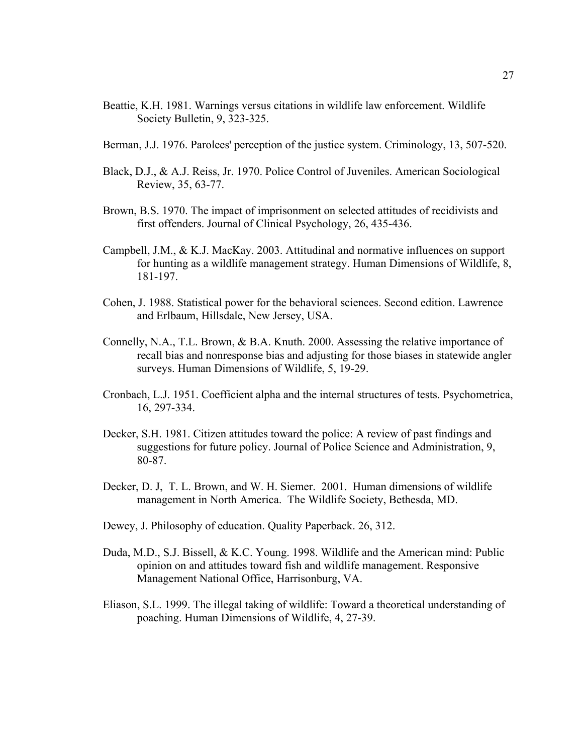- Beattie, K.H. 1981. Warnings versus citations in wildlife law enforcement. Wildlife Society Bulletin, 9, 323-325.
- Berman, J.J. 1976. Parolees' perception of the justice system. Criminology, 13, 507-520.
- Black, D.J., & A.J. Reiss, Jr. 1970. Police Control of Juveniles. American Sociological Review, 35, 63-77.
- Brown, B.S. 1970. The impact of imprisonment on selected attitudes of recidivists and first offenders. Journal of Clinical Psychology, 26, 435-436.
- Campbell, J.M., & K.J. MacKay. 2003. Attitudinal and normative influences on support for hunting as a wildlife management strategy. Human Dimensions of Wildlife, 8, 181-197.
- Cohen, J. 1988. Statistical power for the behavioral sciences. Second edition. Lawrence and Erlbaum, Hillsdale, New Jersey, USA.
- Connelly, N.A., T.L. Brown, & B.A. Knuth. 2000. Assessing the relative importance of recall bias and nonresponse bias and adjusting for those biases in statewide angler surveys. Human Dimensions of Wildlife, 5, 19-29.
- Cronbach, L.J. 1951. Coefficient alpha and the internal structures of tests. Psychometrica, 16, 297-334.
- Decker, S.H. 1981. Citizen attitudes toward the police: A review of past findings and suggestions for future policy. Journal of Police Science and Administration, 9, 80-87.
- Decker, D. J, T. L. Brown, and W. H. Siemer. 2001. Human dimensions of wildlife management in North America. The Wildlife Society, Bethesda, MD.
- Dewey, J. Philosophy of education. Quality Paperback. 26, 312.
- Duda, M.D., S.J. Bissell, & K.C. Young. 1998. Wildlife and the American mind: Public opinion on and attitudes toward fish and wildlife management. Responsive Management National Office, Harrisonburg, VA.
- Eliason, S.L. 1999. The illegal taking of wildlife: Toward a theoretical understanding of poaching. Human Dimensions of Wildlife, 4, 27-39.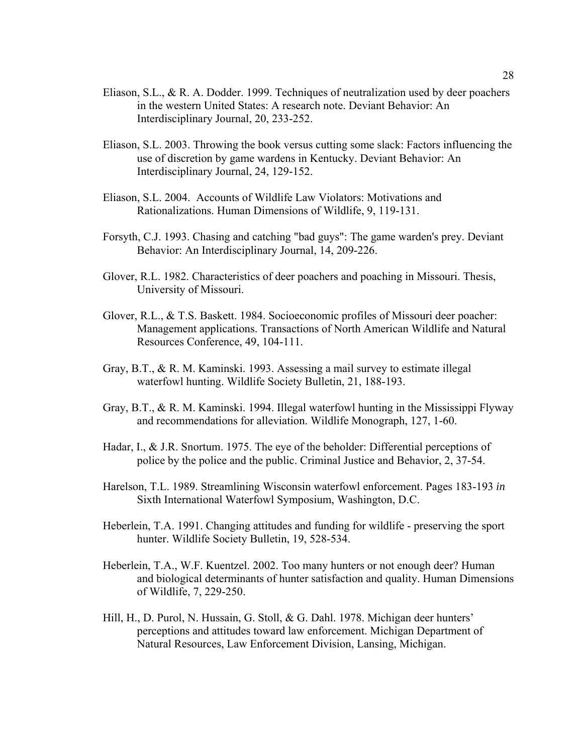- Eliason, S.L., & R. A. Dodder. 1999. Techniques of neutralization used by deer poachers in the western United States: A research note. Deviant Behavior: An Interdisciplinary Journal, 20, 233-252.
- Eliason, S.L. 2003. Throwing the book versus cutting some slack: Factors influencing the use of discretion by game wardens in Kentucky. Deviant Behavior: An Interdisciplinary Journal, 24, 129-152.
- Eliason, S.L. 2004. Accounts of Wildlife Law Violators: Motivations and Rationalizations. Human Dimensions of Wildlife, 9, 119-131.
- Forsyth, C.J. 1993. Chasing and catching "bad guys": The game warden's prey. Deviant Behavior: An Interdisciplinary Journal, 14, 209-226.
- Glover, R.L. 1982. Characteristics of deer poachers and poaching in Missouri. Thesis, University of Missouri.
- Glover, R.L., & T.S. Baskett. 1984. Socioeconomic profiles of Missouri deer poacher: Management applications. Transactions of North American Wildlife and Natural Resources Conference, 49, 104-111.
- Gray, B.T., & R. M. Kaminski. 1993. Assessing a mail survey to estimate illegal waterfowl hunting. Wildlife Society Bulletin, 21, 188-193.
- Gray, B.T., & R. M. Kaminski. 1994. Illegal waterfowl hunting in the Mississippi Flyway and recommendations for alleviation. Wildlife Monograph, 127, 1-60.
- Hadar, I., & J.R. Snortum. 1975. The eye of the beholder: Differential perceptions of police by the police and the public. Criminal Justice and Behavior, 2, 37-54.
- Harelson, T.L. 1989. Streamlining Wisconsin waterfowl enforcement. Pages 183-193 *in* Sixth International Waterfowl Symposium, Washington, D.C.
- Heberlein, T.A. 1991. Changing attitudes and funding for wildlife preserving the sport hunter. Wildlife Society Bulletin, 19, 528-534.
- Heberlein, T.A., W.F. Kuentzel. 2002. Too many hunters or not enough deer? Human and biological determinants of hunter satisfaction and quality. Human Dimensions of Wildlife, 7, 229-250.
- Hill, H., D. Purol, N. Hussain, G. Stoll, & G. Dahl. 1978. Michigan deer hunters' perceptions and attitudes toward law enforcement. Michigan Department of Natural Resources, Law Enforcement Division, Lansing, Michigan.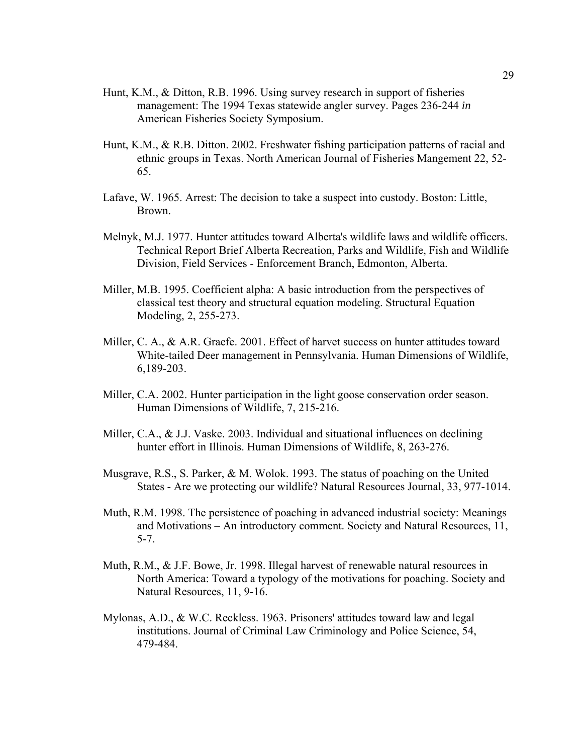- Hunt, K.M., & Ditton, R.B. 1996. Using survey research in support of fisheries management: The 1994 Texas statewide angler survey. Pages 236-244 *in* American Fisheries Society Symposium.
- Hunt, K.M., & R.B. Ditton. 2002. Freshwater fishing participation patterns of racial and ethnic groups in Texas. North American Journal of Fisheries Mangement 22, 52- 65.
- Lafave, W. 1965. Arrest: The decision to take a suspect into custody. Boston: Little, Brown.
- Melnyk, M.J. 1977. Hunter attitudes toward Alberta's wildlife laws and wildlife officers. Technical Report Brief Alberta Recreation, Parks and Wildlife, Fish and Wildlife Division, Field Services - Enforcement Branch, Edmonton, Alberta.
- Miller, M.B. 1995. Coefficient alpha: A basic introduction from the perspectives of classical test theory and structural equation modeling. Structural Equation Modeling, 2, 255-273.
- Miller, C. A., & A.R. Graefe. 2001. Effect of harvet success on hunter attitudes toward White-tailed Deer management in Pennsylvania. Human Dimensions of Wildlife, 6,189-203.
- Miller, C.A. 2002. Hunter participation in the light goose conservation order season. Human Dimensions of Wildlife, 7, 215-216.
- Miller, C.A., & J.J. Vaske. 2003. Individual and situational influences on declining hunter effort in Illinois. Human Dimensions of Wildlife, 8, 263-276.
- Musgrave, R.S., S. Parker, & M. Wolok. 1993. The status of poaching on the United States - Are we protecting our wildlife? Natural Resources Journal, 33, 977-1014.
- Muth, R.M. 1998. The persistence of poaching in advanced industrial society: Meanings and Motivations – An introductory comment. Society and Natural Resources, 11, 5-7.
- Muth, R.M., & J.F. Bowe, Jr. 1998. Illegal harvest of renewable natural resources in North America: Toward a typology of the motivations for poaching. Society and Natural Resources, 11, 9-16.
- Mylonas, A.D., & W.C. Reckless. 1963. Prisoners' attitudes toward law and legal institutions. Journal of Criminal Law Criminology and Police Science, 54, 479-484.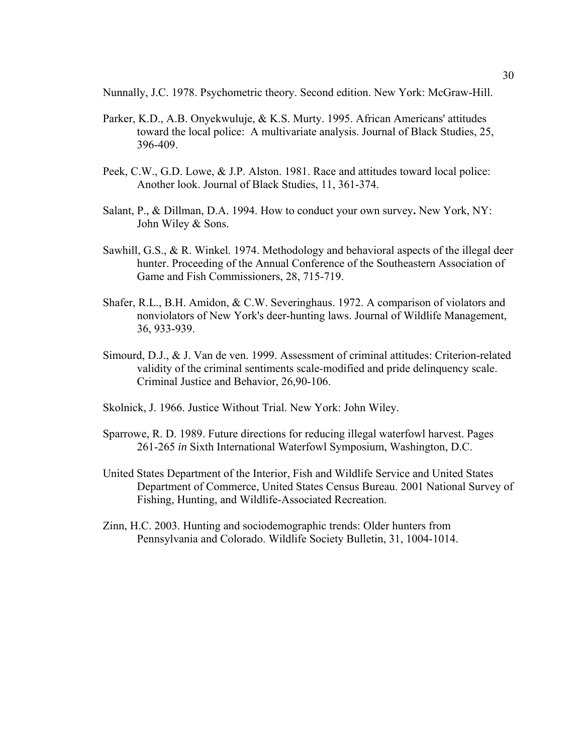Nunnally, J.C. 1978. Psychometric theory. Second edition. New York: McGraw-Hill.

- Parker, K.D., A.B. Onyekwuluje, & K.S. Murty. 1995. African Americans' attitudes toward the local police: A multivariate analysis. Journal of Black Studies, 25, 396-409.
- Peek, C.W., G.D. Lowe, & J.P. Alston. 1981. Race and attitudes toward local police: Another look. Journal of Black Studies, 11, 361-374.
- Salant, P., & Dillman, D.A. 1994. How to conduct your own survey**.** New York, NY: John Wiley & Sons.
- Sawhill, G.S.,  $\&$  R. Winkel. 1974. Methodology and behavioral aspects of the illegal deer hunter. Proceeding of the Annual Conference of the Southeastern Association of Game and Fish Commissioners, 28, 715-719.
- Shafer, R.L., B.H. Amidon, & C.W. Severinghaus. 1972. A comparison of violators and nonviolators of New York's deer-hunting laws. Journal of Wildlife Management, 36, 933-939.
- Simourd, D.J., & J. Van de ven. 1999. Assessment of criminal attitudes: Criterion-related validity of the criminal sentiments scale-modified and pride delinquency scale. Criminal Justice and Behavior, 26,90-106.
- Skolnick, J. 1966. Justice Without Trial. New York: John Wiley.
- Sparrowe, R. D. 1989. Future directions for reducing illegal waterfowl harvest. Pages 261-265 *in* Sixth International Waterfowl Symposium, Washington, D.C.
- United States Department of the Interior, Fish and Wildlife Service and United States Department of Commerce, United States Census Bureau. 2001 National Survey of Fishing, Hunting, and Wildlife-Associated Recreation.
- Zinn, H.C. 2003. Hunting and sociodemographic trends: Older hunters from Pennsylvania and Colorado. Wildlife Society Bulletin, 31, 1004-1014.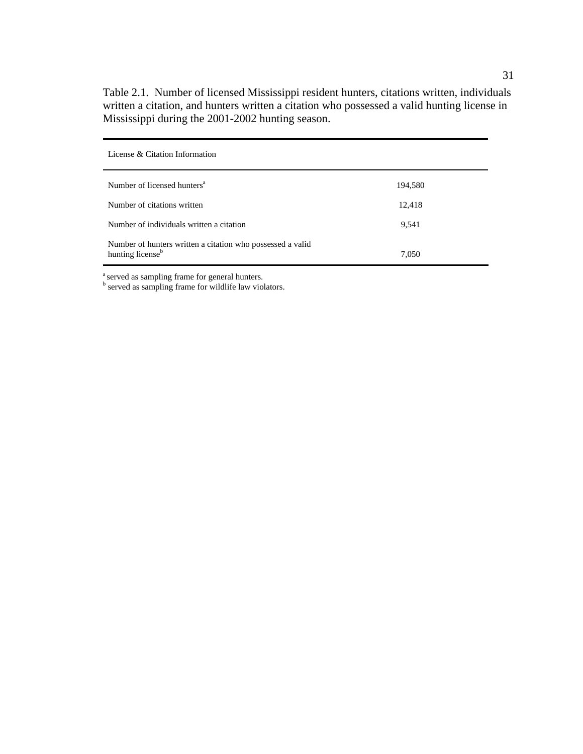Table 2.1. Number of licensed Mississippi resident hunters, citations written, individuals written a citation, and hunters written a citation who possessed a valid hunting license in Mississippi during the 2001-2002 hunting season.

| License & Citation Information                                                             |         |
|--------------------------------------------------------------------------------------------|---------|
| Number of licensed hunters <sup>a</sup>                                                    | 194,580 |
| Number of citations written                                                                | 12,418  |
| Number of individuals written a citation                                                   | 9,541   |
| Number of hunters written a citation who possessed a valid<br>hunting license <sup>b</sup> | 7,050   |

<sup>a</sup> served as sampling frame for general hunters.<br><sup>b</sup> served as sampling frame for wildlife law violators.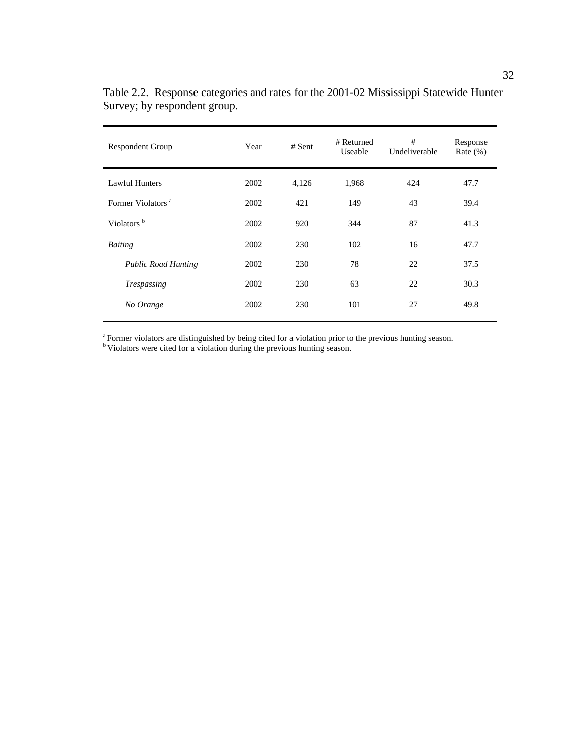| <b>Respondent Group</b>       | Year | $#$ Sent | #<br># Returned<br>Useable<br>Undeliverable |     | Response<br>Rate $(\%)$ |
|-------------------------------|------|----------|---------------------------------------------|-----|-------------------------|
| Lawful Hunters                | 2002 | 4,126    | 1,968                                       | 424 | 47.7                    |
| Former Violators <sup>a</sup> | 2002 | 421      | 149                                         | 43  | 39.4                    |
| Violators <sup>b</sup>        | 2002 | 920      | 344                                         | 87  | 41.3                    |
| <b>Baiting</b>                | 2002 | 230      | 102                                         | 16  | 47.7                    |
| <b>Public Road Hunting</b>    | 2002 | 230      | 78                                          | 22  | 37.5                    |
| <b>Trespassing</b>            | 2002 | 230      | 63                                          | 22  | 30.3                    |
| No Orange                     | 2002 | 230      | 101                                         | 27  | 49.8                    |
|                               |      |          |                                             |     |                         |

Table 2.2. Response categories and rates for the 2001-02 Mississippi Statewide Hunter Survey; by respondent group.

<sup>a</sup> Former violators are distinguished by being cited for a violation prior to the previous hunting season. b Violators were cited for a violation during the previous hunting season.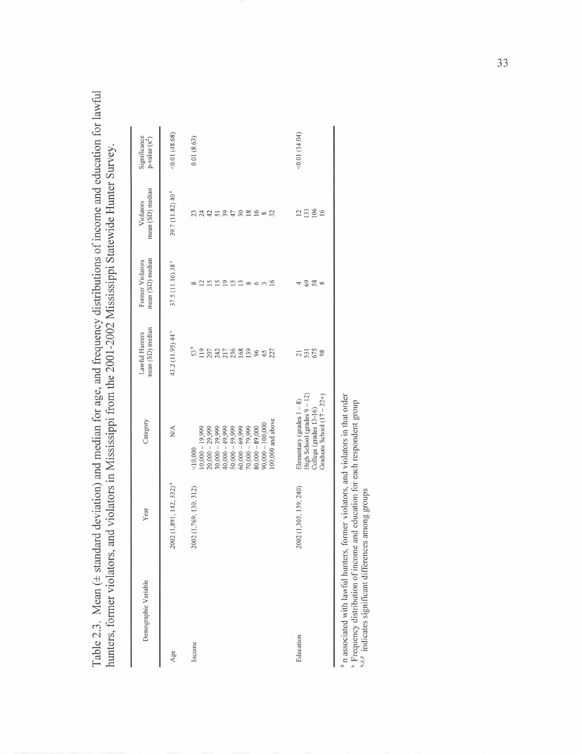Table 2.3. Mean ( $\pm$  standard deviation) and median for age, and frequency distributions of income and education for lawful Table 2.3. Mean (± standard deviation) and median for age, and frequency distributions of income and education for lawful hunters, former violators, and violators in Mississippi from the 2001 -2002 Mississippi Statewide Hunter Survey. hunters, former violators, and violators in Mississippi from the 2001-2002 Mississippi Statewide Hunter Survey.

| Significance<br>$p$ -value $(x^2)$   | <0.01(48.68)                              | 0.01(8.63)                                                                                                                                                                                                                    | (14.04)                                                                                                               |
|--------------------------------------|-------------------------------------------|-------------------------------------------------------------------------------------------------------------------------------------------------------------------------------------------------------------------------------|-----------------------------------------------------------------------------------------------------------------------|
| mean (SD) median<br>Violators        | 39.7 (11.82) 40 <sup><math>z</math></sup> | 3770<br>$\frac{8}{16}$ $\frac{6}{8}$<br>23<br>2425<br>32                                                                                                                                                                      | 133<br>$\overline{c}$<br>16                                                                                           |
| mean (SD) median<br>Former Violators | 37.5 (11.16) 38 <sup>y</sup>              | $\overline{15}$<br>$\overline{15}$<br>$2520$<br>$\overline{16}$<br>₫<br>6<br>$\sim$                                                                                                                                           | 69<br>58<br>$\infty$<br>4                                                                                             |
| mean (SD) median<br>Lawful Hunters   | 43.2 (11.95) 44 <sup>x</sup>              | 53 <sup>b</sup><br>277888888<br>119<br>207<br>227                                                                                                                                                                             | 531<br>98<br>$\overline{21}$                                                                                          |
| Category                             | $\mathop{\rm NA}\nolimits$                | $100,000$ and above<br>$90,000 - 100,000$<br>$70,000 - 79,999$<br>$80,000 - 89,000$<br>$50,000 - 59,999$<br>$60,000 - 69,999$<br>$40,000 - 49,999$<br>$10,000 - 19,999$<br>$20,000 - 29,999$<br>$30,000 - 39,999$<br>< 10,000 | High School (grades 9 - 12)<br>Graduate School $(17 - 22+)$<br>Elementary (grades $1 - 8$ )<br>College (grades 13-16) |
| Year                                 | 2002 (1,891; 142; 332) <sup>a</sup>       | 2002 (1,769, 130, 312)                                                                                                                                                                                                        | 2002 (1,305; 139; 240)                                                                                                |
| Demographic Variable                 | Age                                       | Income                                                                                                                                                                                                                        | Education                                                                                                             |

<sup>a</sup> n associated with lawful hunters, former violators, and violators in that order  $\frac{1}{2}$  Frequency distribution of income and education for each respondent group  $\frac{1}{2}$ <sup>2</sup>. Indicates significant differences among <sup>a</sup>n associated with lawful hunters, former violators, and violators in that order Frequency distribution of income and education for each respondent group

**qY\*z** indicates significant differences among groups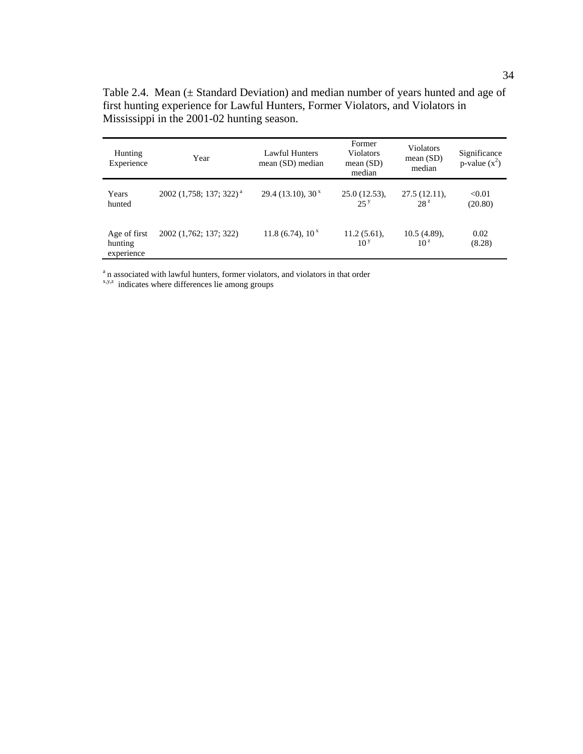Table 2.4. Mean (± Standard Deviation) and median number of years hunted and age of first hunting experience for Lawful Hunters, Former Violators, and Violators in Mississippi in the 2001-02 hunting season.

| <b>Hunting</b><br>Experience          | Year                                  | Lawful Hunters<br>mean (SD) median | Former<br><b>Violators</b><br>mean $(SD)$<br>median | <b>Violators</b><br>mean $(SD)$<br>median | Significance<br>p-value $(x^2)$ |
|---------------------------------------|---------------------------------------|------------------------------------|-----------------------------------------------------|-------------------------------------------|---------------------------------|
| Years<br>hunted                       | $2002$ (1,758; 137; 322) <sup>a</sup> | 29.4(13.10), 30 <sup>x</sup>       | 25.0(12.53),<br>25 <sup>y</sup>                     | 27.5(12.11),<br>28 <sup>z</sup>           | < 0.01<br>(20.80)               |
| Age of first<br>hunting<br>experience | 2002 (1,762; 137; 322)                | 11.8 (6.74), $10^x$                | $11.2(5.61)$ ,<br>10 <sup>y</sup>                   | 10.5(4.89),<br>10 <sup>z</sup>            | 0.02<br>(8.28)                  |

 $\alpha$  n associated with lawful hunters, former violators, and violators in that order  $\alpha$ , y, $z$  indicates where differences lie among groups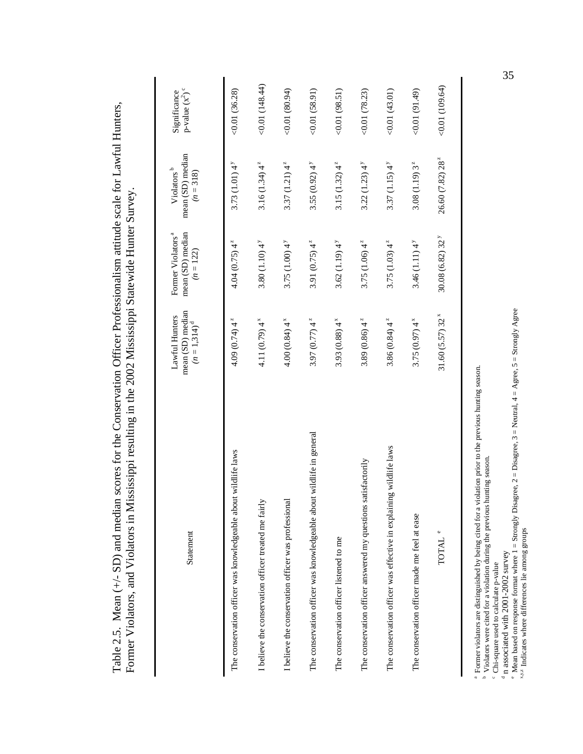| Statement                                                            | mean (SD) median<br>Lawful Hunters<br>$(n = 1,314)^d$ | Former Violators <sup>a</sup><br>mean (SD) median<br>$(n = 122)$ | mean (SD) median<br>Violators <sup>b</sup><br>$(n = 318)$ | p-value $(\mathbf{x}^2)$ °<br>Significance |
|----------------------------------------------------------------------|-------------------------------------------------------|------------------------------------------------------------------|-----------------------------------------------------------|--------------------------------------------|
| The conservation officer was knowledgeable about wildlife laws       | 4.09 $(0.74)$ 4 <sup>2</sup>                          | $4.04(0.75)$ 4 <sup>2</sup>                                      | 3.73 $(1.01)$ 4 <sup>y</sup>                              | <0.01(36.28)                               |
| I believe the conservation officer treated me fairly                 | 4.11 $(0.79)$ 4 <sup>x</sup>                          | $3.80(1.10)4^{y}$                                                | 3.16 $(1.34)$ 4 <sup>2</sup>                              | (148.44)                                   |
| I believe the conservation officer was professional                  | $4.00(0.84)$ 4 <sup>x</sup>                           | 3.75 $(1.00)$ 4 <sup>y</sup>                                     | 3.37 $(1.21)$ 4 <sup>2</sup>                              | (60.01)(80.94)                             |
| The conservation officer was knowledgeable about wildlife in general | 3.97 $(0.77)$ 4 <sup>2</sup>                          | 3.91 $(0.75)$ 4 <sup>2</sup>                                     | $3.55(0.92)$ 4 <sup>y</sup>                               | (188.91)                                   |
| The conservation officer listened to me                              | 3.93 $(0.88)$ 4 <sup>x</sup>                          | 3.62(1.19)4 <sup>y</sup>                                         | 3.15 $(1.32)$ 4 <sup>2</sup>                              | (0.01(98.51))                              |
| The conservation officer answered my questions satisfactorily        | 3.89 $(0.86)$ 4 <sup>2</sup>                          | 3.75 (1.06) $4^z$                                                | $3.22(1.23)$ 4 <sup>y</sup>                               | 0.01(78.23)                                |
| The conservation officer was effective in explaining wildlife laws   | 3.86 $(0.84)$ 4 <sup>2</sup>                          | $3.75(1.03)$ 4 <sup>2</sup>                                      | $3.37(1.15)4^{y}$                                         | 0.01(43.01)                                |
| The conservation officer made me feel at ease                        | 3.75 $(0.97)$ 4 <sup>x</sup>                          | 3.46(1.11)4 <sup>y</sup>                                         | $3.08(1.19)3^{z}$                                         | (61.49)                                    |
| TOTAL                                                                | 31.60(5.57)32 <sup>x</sup>                            | 30.08(6.82)32 <sup>y</sup>                                       | $26.60(7.82)28^{z}$                                       | 0.01(109.64)                               |
|                                                                      |                                                       |                                                                  |                                                           |                                            |

35

b Violators were cited for a violation during the previous hunting season. c Chi-square used to calculate p-value

a Former violators are distinguished by being cited for a violation prior to the previous hunting season.

 $\rm{^4}$  n associated with 2001-2002 survey

<sup>a</sup> Former violators are distinguished by being cited for a violation prior to the previous hunting season.<br><sup>b</sup> Violators were cited for a violation during the previous hunting season.<br><sup>c</sup> Chi-square used to calculate p-v <sup>e</sup> Mean based on response format where  $1 =$  Strongly Disagree,  $2 =$  Disagree,  $3 =$  Neutral,  $4 =$  Agree,  $5 =$  Strongly Agree

x,y,z Indicates where differences lie among groups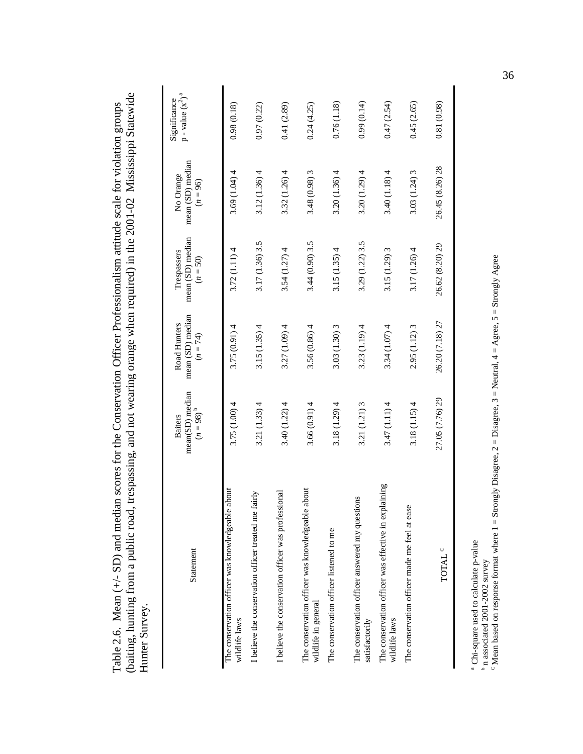| (baiting, hunting from a public road, trespassing, and not wearing orange when required) in the 2001-02 Mississippi Statewide<br>Table 2.6. Mean $(+/-$ SD) and median scores for the Conservation Officer Professionalism attitude scale for violation groups<br>Hunter Survey. |                                              |                                                |                                               |                                             |                                        |
|----------------------------------------------------------------------------------------------------------------------------------------------------------------------------------------------------------------------------------------------------------------------------------|----------------------------------------------|------------------------------------------------|-----------------------------------------------|---------------------------------------------|----------------------------------------|
| Statement                                                                                                                                                                                                                                                                        | mean(SD) median<br>$(n = 98)^{b}$<br>Baiters | mean (SD) median<br>Road Hunters<br>$(n = 74)$ | mean (SD) median<br>Trespassers<br>$(n = 50)$ | mean (SD) median<br>No Orange<br>$(n = 96)$ | a<br>p - value $(x^2)$<br>Significance |
| about<br>The conservation officer was knowledgeable<br>wildlife laws                                                                                                                                                                                                             | 3.75(1.00)4                                  | 3.75(0.91)4                                    | 3.72(1.11)4                                   | 3.69(1.04)4                                 | 0.98(0.18)                             |
| I believe the conservation officer treated me fairly                                                                                                                                                                                                                             | 3.21(1.33)4                                  | 3.15(1.35)4                                    | 3.17 (1.36) 3.5                               | 3.12(1.36)4                                 | 0.97(0.22)                             |
| I believe the conservation officer was professional                                                                                                                                                                                                                              | 3.40(1.22)4                                  | 3.27(1.09)4                                    | 3.54(1.27)4                                   | 3.32(1.26)4                                 | 0.41(2.89)                             |
| about<br>The conservation officer was knowledgeable<br>wildlife in general                                                                                                                                                                                                       | 3.66(0.91)4                                  | 3.56 (0.86) 4                                  | 3.44(0.90)3.5                                 | 3.48 (0.98) 3                               | 0.24(4.25)                             |
| The conservation officer listened to me                                                                                                                                                                                                                                          | 3.18(1.29)4                                  | 3.03 (1.30) 3                                  | 3.15(1.35)4                                   | 3.20(1.36)4                                 | 0.76(1.18)                             |
| The conservation officer answered my questions<br>satisfactorily                                                                                                                                                                                                                 | 3.21 (1.21) 3                                | 3.23(1.19)4                                    | 3.29 (1.22) 3.5                               | 3.20(1.29)4                                 | 0.99(0.14)                             |
| The conservation officer was effective in explaining<br>wildlife laws                                                                                                                                                                                                            | 3.47(1.11)4                                  | 3.34(1.07)4                                    | 3.15 (1.29) 3                                 | 3.40(1.18)4                                 | 0.47(2.54)                             |
| $\ddot{\mathbf{Q}}$<br>The conservation officer made me feel at eas                                                                                                                                                                                                              | 3.18(1.15)4                                  | $2.95(1.12)$ 3                                 | 3.17(1.26)4                                   | 3.03 (1.24) 3                               | 0.45(2.65)                             |
| <b>TOTAL</b> <sup>C</sup>                                                                                                                                                                                                                                                        | 27.05 (7.76) 29                              | 26.20 (7.18) 27                                | 26.62 (8.20) 29                               | 26.45 (8.26) 28                             | 0.81(0.98)                             |

a Chi-square used to calculate p-value

<sup>b</sup> n associated 2001-2002 survey

<sup>a</sup> Chi-square used to calculate p-value<br><sup>b</sup> n associated 2001-2002 survey<br><sup>c</sup> Mean based on response format where 1 = Strongly Disagree, 2 = Disagree, 3 = Neutral, 4 = Agree, 5 = Strongly Agree C Mean based on response format where  $1 =$  Strongly Disagree,  $2 =$  Disagree,  $3 =$  Neutral,  $4 =$  Agree,  $5 =$  Strongly Agree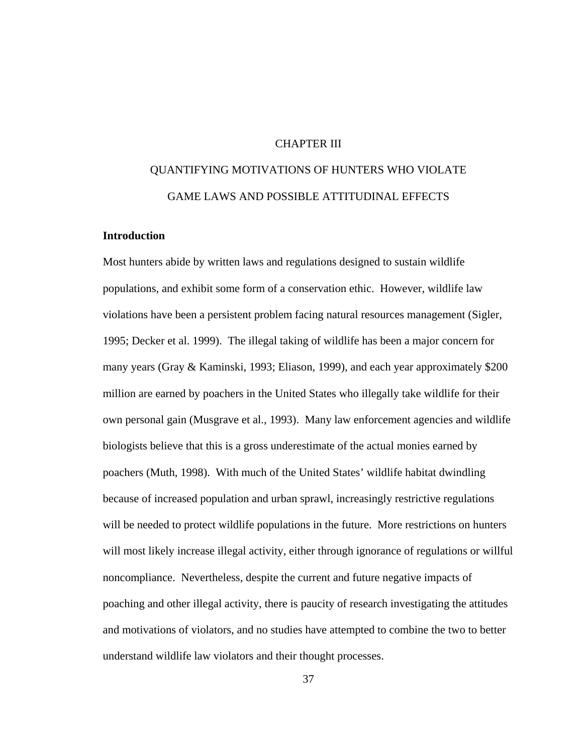## CHAPTER III

# QUANTIFYING MOTIVATIONS OF HUNTERS WHO VIOLATE GAME LAWS AND POSSIBLE ATTITUDINAL EFFECTS

# **Introduction**

Most hunters abide by written laws and regulations designed to sustain wildlife populations, and exhibit some form of a conservation ethic. However, wildlife law violations have been a persistent problem facing natural resources management (Sigler, 1995; Decker et al. 1999). The illegal taking of wildlife has been a major concern for many years (Gray & Kaminski, 1993; Eliason, 1999), and each year approximately \$200 million are earned by poachers in the United States who illegally take wildlife for their own personal gain (Musgrave et al., 1993). Many law enforcement agencies and wildlife biologists believe that this is a gross underestimate of the actual monies earned by poachers (Muth, 1998). With much of the United States' wildlife habitat dwindling because of increased population and urban sprawl, increasingly restrictive regulations will be needed to protect wildlife populations in the future. More restrictions on hunters will most likely increase illegal activity, either through ignorance of regulations or willful noncompliance. Nevertheless, despite the current and future negative impacts of poaching and other illegal activity, there is paucity of research investigating the attitudes and motivations of violators, and no studies have attempted to combine the two to better understand wildlife law violators and their thought processes.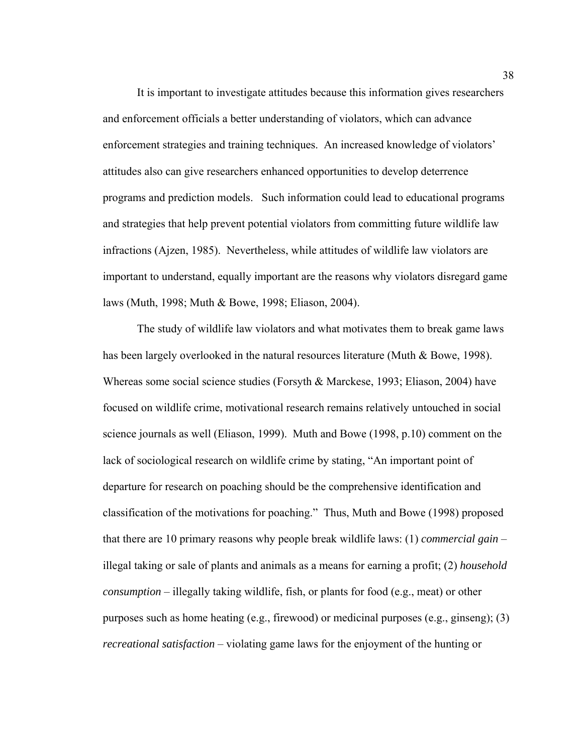It is important to investigate attitudes because this information gives researchers and enforcement officials a better understanding of violators, which can advance enforcement strategies and training techniques. An increased knowledge of violators' attitudes also can give researchers enhanced opportunities to develop deterrence programs and prediction models. Such information could lead to educational programs and strategies that help prevent potential violators from committing future wildlife law infractions (Ajzen, 1985). Nevertheless, while attitudes of wildlife law violators are important to understand, equally important are the reasons why violators disregard game laws (Muth, 1998; Muth & Bowe, 1998; Eliason, 2004).

The study of wildlife law violators and what motivates them to break game laws has been largely overlooked in the natural resources literature (Muth & Bowe, 1998). Whereas some social science studies (Forsyth & Marckese, 1993; Eliason, 2004) have focused on wildlife crime, motivational research remains relatively untouched in social science journals as well (Eliason, 1999). Muth and Bowe (1998, p.10) comment on the lack of sociological research on wildlife crime by stating, "An important point of departure for research on poaching should be the comprehensive identification and classification of the motivations for poaching." Thus, Muth and Bowe (1998) proposed that there are 10 primary reasons why people break wildlife laws: (1) *commercial gain* – illegal taking or sale of plants and animals as a means for earning a profit; (2) *household consumption* – illegally taking wildlife, fish, or plants for food (e.g., meat) or other purposes such as home heating (e.g., firewood) or medicinal purposes (e.g., ginseng); (3) *recreational satisfaction* – violating game laws for the enjoyment of the hunting or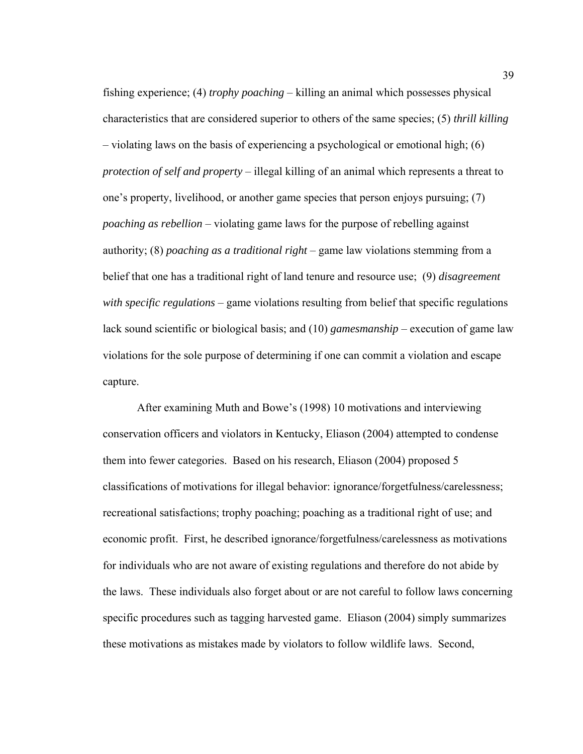fishing experience; (4) *trophy poaching* – killing an animal which possesses physical characteristics that are considered superior to others of the same species; (5) *thrill killing* – violating laws on the basis of experiencing a psychological or emotional high; (6) *protection of self and property* – illegal killing of an animal which represents a threat to one's property, livelihood, or another game species that person enjoys pursuing; (7) *poaching as rebellion* – violating game laws for the purpose of rebelling against authority; (8) *poaching as a traditional right* – game law violations stemming from a belief that one has a traditional right of land tenure and resource use; (9) *disagreement with specific regulations* – game violations resulting from belief that specific regulations lack sound scientific or biological basis; and (10) *gamesmanship* – execution of game law violations for the sole purpose of determining if one can commit a violation and escape capture.

 After examining Muth and Bowe's (1998) 10 motivations and interviewing conservation officers and violators in Kentucky, Eliason (2004) attempted to condense them into fewer categories. Based on his research, Eliason (2004) proposed 5 classifications of motivations for illegal behavior: ignorance/forgetfulness/carelessness; recreational satisfactions; trophy poaching; poaching as a traditional right of use; and economic profit. First, he described ignorance/forgetfulness/carelessness as motivations for individuals who are not aware of existing regulations and therefore do not abide by the laws. These individuals also forget about or are not careful to follow laws concerning specific procedures such as tagging harvested game. Eliason (2004) simply summarizes these motivations as mistakes made by violators to follow wildlife laws. Second,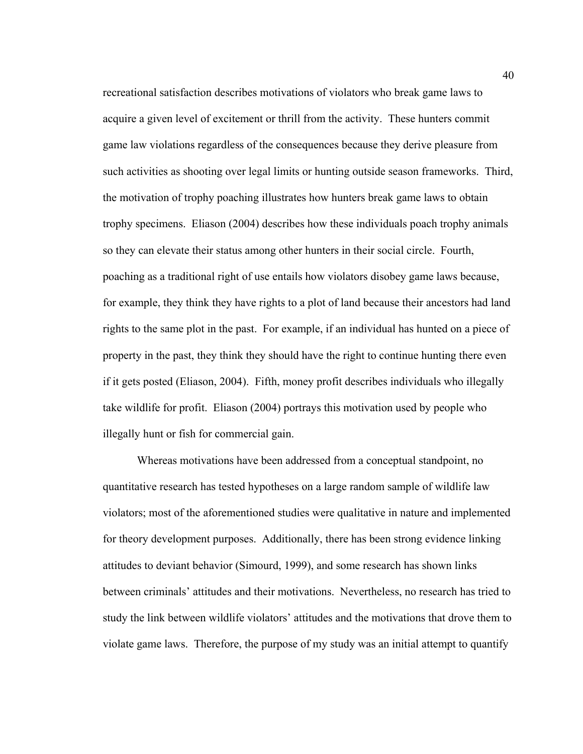recreational satisfaction describes motivations of violators who break game laws to acquire a given level of excitement or thrill from the activity. These hunters commit game law violations regardless of the consequences because they derive pleasure from such activities as shooting over legal limits or hunting outside season frameworks. Third, the motivation of trophy poaching illustrates how hunters break game laws to obtain trophy specimens. Eliason (2004) describes how these individuals poach trophy animals so they can elevate their status among other hunters in their social circle. Fourth, poaching as a traditional right of use entails how violators disobey game laws because, for example, they think they have rights to a plot of land because their ancestors had land rights to the same plot in the past. For example, if an individual has hunted on a piece of property in the past, they think they should have the right to continue hunting there even if it gets posted (Eliason, 2004). Fifth, money profit describes individuals who illegally take wildlife for profit. Eliason (2004) portrays this motivation used by people who illegally hunt or fish for commercial gain.

Whereas motivations have been addressed from a conceptual standpoint, no quantitative research has tested hypotheses on a large random sample of wildlife law violators; most of the aforementioned studies were qualitative in nature and implemented for theory development purposes. Additionally, there has been strong evidence linking attitudes to deviant behavior (Simourd, 1999), and some research has shown links between criminals' attitudes and their motivations. Nevertheless, no research has tried to study the link between wildlife violators' attitudes and the motivations that drove them to violate game laws. Therefore, the purpose of my study was an initial attempt to quantify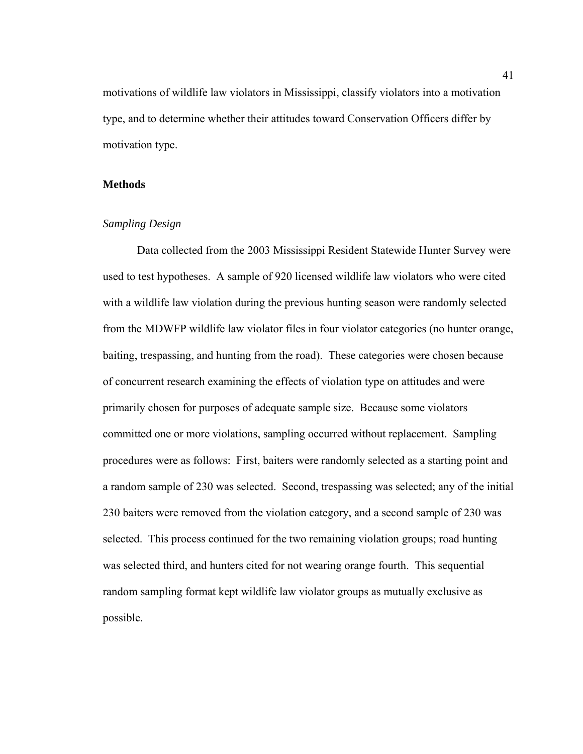motivations of wildlife law violators in Mississippi, classify violators into a motivation type, and to determine whether their attitudes toward Conservation Officers differ by motivation type.

#### **Methods**

#### *Sampling Design*

Data collected from the 2003 Mississippi Resident Statewide Hunter Survey were used to test hypotheses. A sample of 920 licensed wildlife law violators who were cited with a wildlife law violation during the previous hunting season were randomly selected from the MDWFP wildlife law violator files in four violator categories (no hunter orange, baiting, trespassing, and hunting from the road). These categories were chosen because of concurrent research examining the effects of violation type on attitudes and were primarily chosen for purposes of adequate sample size. Because some violators committed one or more violations, sampling occurred without replacement. Sampling procedures were as follows: First, baiters were randomly selected as a starting point and a random sample of 230 was selected. Second, trespassing was selected; any of the initial 230 baiters were removed from the violation category, and a second sample of 230 was selected. This process continued for the two remaining violation groups; road hunting was selected third, and hunters cited for not wearing orange fourth. This sequential random sampling format kept wildlife law violator groups as mutually exclusive as possible.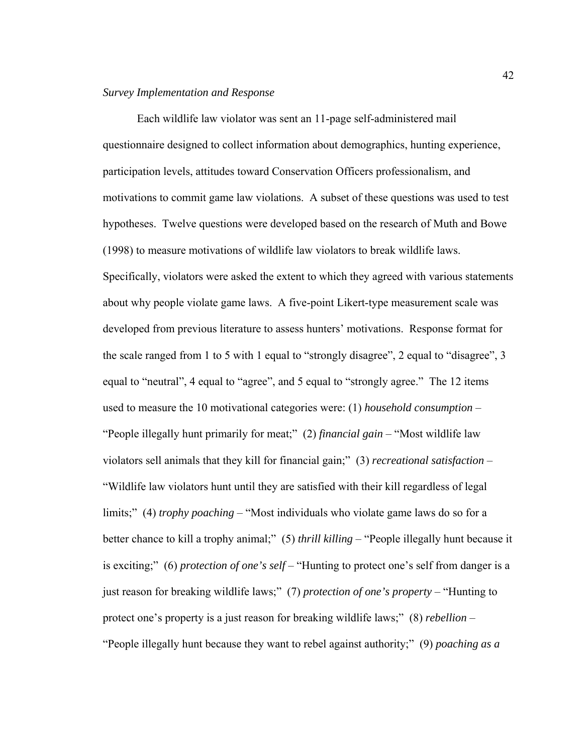#### *Survey Implementation and Response*

Each wildlife law violator was sent an 11-page self-administered mail questionnaire designed to collect information about demographics, hunting experience, participation levels, attitudes toward Conservation Officers professionalism, and motivations to commit game law violations. A subset of these questions was used to test hypotheses. Twelve questions were developed based on the research of Muth and Bowe (1998) to measure motivations of wildlife law violators to break wildlife laws. Specifically, violators were asked the extent to which they agreed with various statements about why people violate game laws. A five-point Likert-type measurement scale was developed from previous literature to assess hunters' motivations. Response format for the scale ranged from 1 to 5 with 1 equal to "strongly disagree", 2 equal to "disagree", 3 equal to "neutral", 4 equal to "agree", and 5 equal to "strongly agree." The 12 items used to measure the 10 motivational categories were: (1) *household consumption* – "People illegally hunt primarily for meat;" (2) *financial gain* – "Most wildlife law violators sell animals that they kill for financial gain;" (3) *recreational satisfaction* – "Wildlife law violators hunt until they are satisfied with their kill regardless of legal limits;" (4) *trophy poaching* – "Most individuals who violate game laws do so for a better chance to kill a trophy animal;" (5) *thrill killing* – "People illegally hunt because it is exciting;" (6) *protection of one's self* – "Hunting to protect one's self from danger is a just reason for breaking wildlife laws;" (7) *protection of one's property* – "Hunting to protect one's property is a just reason for breaking wildlife laws;" (8) *rebellion* – "People illegally hunt because they want to rebel against authority;" (9) *poaching as a*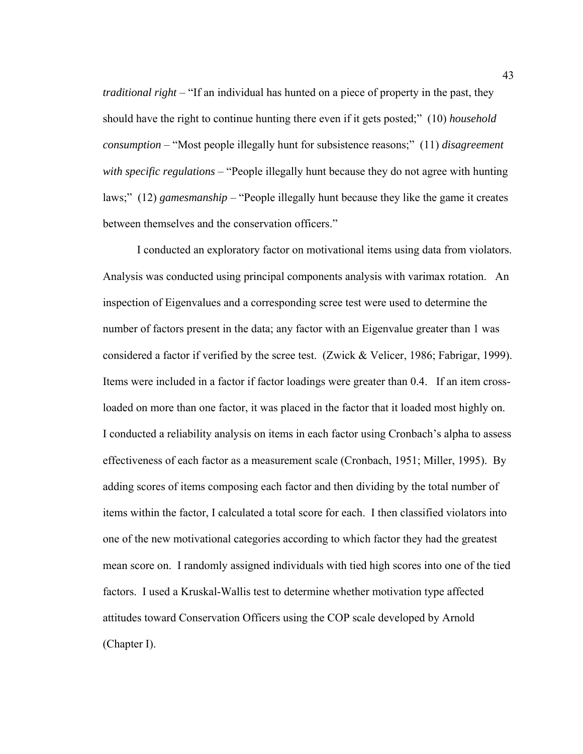*traditional right* – "If an individual has hunted on a piece of property in the past, they should have the right to continue hunting there even if it gets posted;" (10) *household consumption* – "Most people illegally hunt for subsistence reasons;" (11) *disagreement with specific regulations* – "People illegally hunt because they do not agree with hunting laws;" (12) *gamesmanship* – "People illegally hunt because they like the game it creates between themselves and the conservation officers."

I conducted an exploratory factor on motivational items using data from violators. Analysis was conducted using principal components analysis with varimax rotation. An inspection of Eigenvalues and a corresponding scree test were used to determine the number of factors present in the data; any factor with an Eigenvalue greater than 1 was considered a factor if verified by the scree test. (Zwick & Velicer, 1986; Fabrigar, 1999). Items were included in a factor if factor loadings were greater than 0.4. If an item crossloaded on more than one factor, it was placed in the factor that it loaded most highly on. I conducted a reliability analysis on items in each factor using Cronbach's alpha to assess effectiveness of each factor as a measurement scale (Cronbach, 1951; Miller, 1995). By adding scores of items composing each factor and then dividing by the total number of items within the factor, I calculated a total score for each. I then classified violators into one of the new motivational categories according to which factor they had the greatest mean score on. I randomly assigned individuals with tied high scores into one of the tied factors. I used a Kruskal-Wallis test to determine whether motivation type affected attitudes toward Conservation Officers using the COP scale developed by Arnold (Chapter I).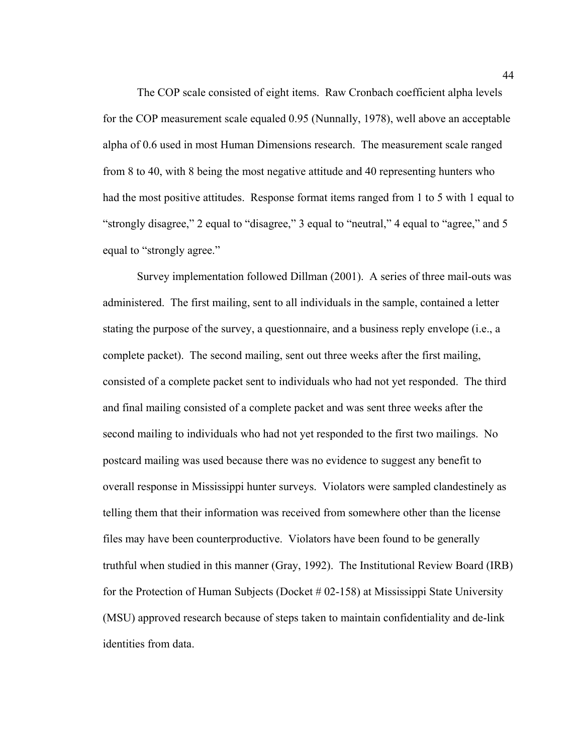The COP scale consisted of eight items. Raw Cronbach coefficient alpha levels for the COP measurement scale equaled 0.95 (Nunnally, 1978), well above an acceptable alpha of 0.6 used in most Human Dimensions research. The measurement scale ranged from 8 to 40, with 8 being the most negative attitude and 40 representing hunters who had the most positive attitudes. Response format items ranged from 1 to 5 with 1 equal to "strongly disagree," 2 equal to "disagree," 3 equal to "neutral," 4 equal to "agree," and 5 equal to "strongly agree."

Survey implementation followed Dillman (2001). A series of three mail-outs was administered. The first mailing, sent to all individuals in the sample, contained a letter stating the purpose of the survey, a questionnaire, and a business reply envelope (i.e., a complete packet). The second mailing, sent out three weeks after the first mailing, consisted of a complete packet sent to individuals who had not yet responded. The third and final mailing consisted of a complete packet and was sent three weeks after the second mailing to individuals who had not yet responded to the first two mailings. No postcard mailing was used because there was no evidence to suggest any benefit to overall response in Mississippi hunter surveys. Violators were sampled clandestinely as telling them that their information was received from somewhere other than the license files may have been counterproductive. Violators have been found to be generally truthful when studied in this manner (Gray, 1992). The Institutional Review Board (IRB) for the Protection of Human Subjects (Docket # 02-158) at Mississippi State University (MSU) approved research because of steps taken to maintain confidentiality and de-link identities from data.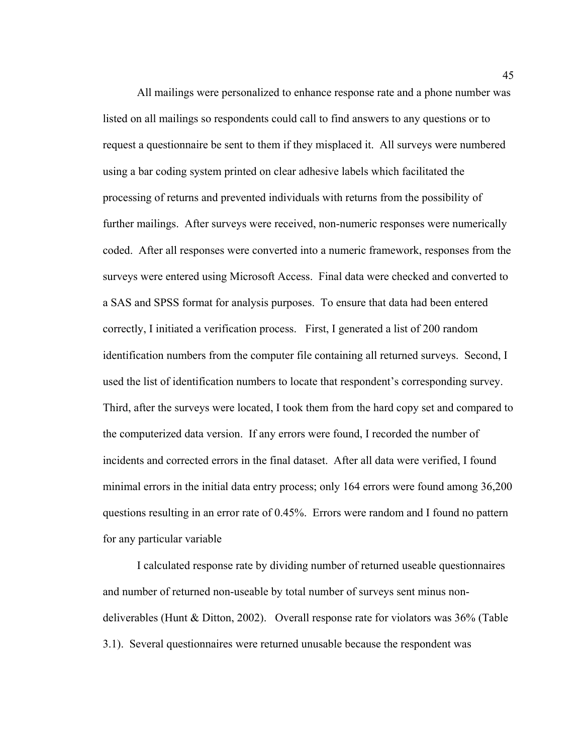All mailings were personalized to enhance response rate and a phone number was listed on all mailings so respondents could call to find answers to any questions or to request a questionnaire be sent to them if they misplaced it. All surveys were numbered using a bar coding system printed on clear adhesive labels which facilitated the processing of returns and prevented individuals with returns from the possibility of further mailings. After surveys were received, non-numeric responses were numerically coded. After all responses were converted into a numeric framework, responses from the surveys were entered using Microsoft Access. Final data were checked and converted to a SAS and SPSS format for analysis purposes. To ensure that data had been entered correctly, I initiated a verification process. First, I generated a list of 200 random identification numbers from the computer file containing all returned surveys. Second, I used the list of identification numbers to locate that respondent's corresponding survey. Third, after the surveys were located, I took them from the hard copy set and compared to the computerized data version. If any errors were found, I recorded the number of incidents and corrected errors in the final dataset. After all data were verified, I found minimal errors in the initial data entry process; only 164 errors were found among 36,200 questions resulting in an error rate of 0.45%. Errors were random and I found no pattern for any particular variable

I calculated response rate by dividing number of returned useable questionnaires and number of returned non-useable by total number of surveys sent minus nondeliverables (Hunt & Ditton, 2002). Overall response rate for violators was 36% (Table 3.1). Several questionnaires were returned unusable because the respondent was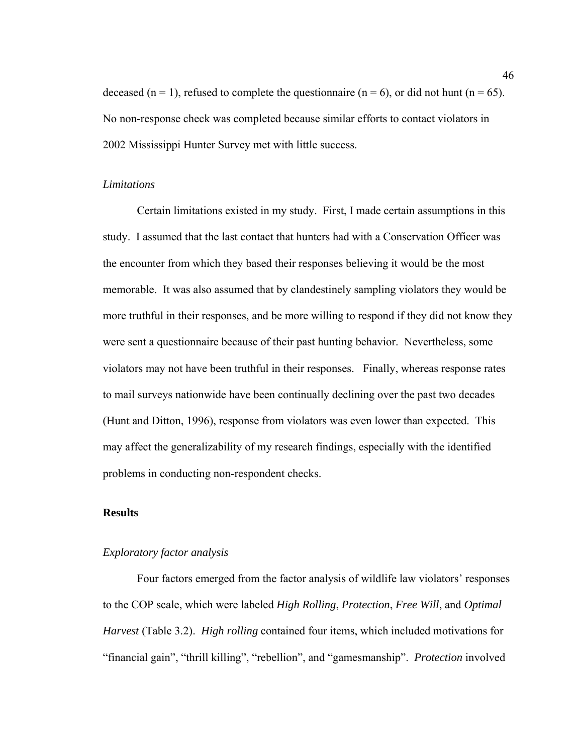deceased (n = 1), refused to complete the questionnaire (n = 6), or did not hunt (n = 65). No non-response check was completed because similar efforts to contact violators in 2002 Mississippi Hunter Survey met with little success.

#### *Limitations*

Certain limitations existed in my study. First, I made certain assumptions in this study. I assumed that the last contact that hunters had with a Conservation Officer was the encounter from which they based their responses believing it would be the most memorable. It was also assumed that by clandestinely sampling violators they would be more truthful in their responses, and be more willing to respond if they did not know they were sent a questionnaire because of their past hunting behavior. Nevertheless, some violators may not have been truthful in their responses. Finally, whereas response rates to mail surveys nationwide have been continually declining over the past two decades (Hunt and Ditton, 1996), response from violators was even lower than expected. This may affect the generalizability of my research findings, especially with the identified problems in conducting non-respondent checks.

# **Results**

#### *Exploratory factor analysis*

Four factors emerged from the factor analysis of wildlife law violators' responses to the COP scale, which were labeled *High Rolling*, *Protection*, *Free Will*, and *Optimal Harvest* (Table 3.2). *High rolling* contained four items, which included motivations for "financial gain", "thrill killing", "rebellion", and "gamesmanship". *Protection* involved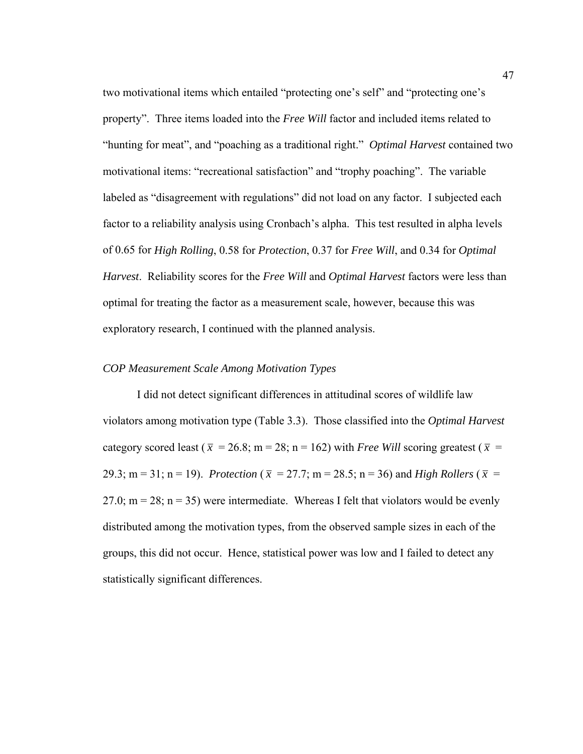two motivational items which entailed "protecting one's self" and "protecting one's property". Three items loaded into the *Free Will* factor and included items related to "hunting for meat", and "poaching as a traditional right." *Optimal Harvest* contained two motivational items: "recreational satisfaction" and "trophy poaching". The variable labeled as "disagreement with regulations" did not load on any factor. I subjected each factor to a reliability analysis using Cronbach's alpha. This test resulted in alpha levels of 0.65 for *High Rolling*, 0.58 for *Protection*, 0.37 for *Free Will*, and 0.34 for *Optimal Harvest*. Reliability scores for the *Free Will* and *Optimal Harvest* factors were less than optimal for treating the factor as a measurement scale, however, because this was exploratory research, I continued with the planned analysis.

# *COP Measurement Scale Among Motivation Types*

I did not detect significant differences in attitudinal scores of wildlife law violators among motivation type (Table 3.3). Those classified into the *Optimal Harvest* category scored least ( $\bar{x}$  = 26.8; m = 28; n = 162) with *Free Will* scoring greatest ( $\bar{x}$  = 29.3; m = 31; n = 19). *Protection* ( $\bar{x}$  = 27.7; m = 28.5; n = 36) and *High Rollers* ( $\bar{x}$  = 27.0;  $m = 28$ ;  $n = 35$ ) were intermediate. Whereas I felt that violators would be evenly distributed among the motivation types, from the observed sample sizes in each of the groups, this did not occur. Hence, statistical power was low and I failed to detect any statistically significant differences.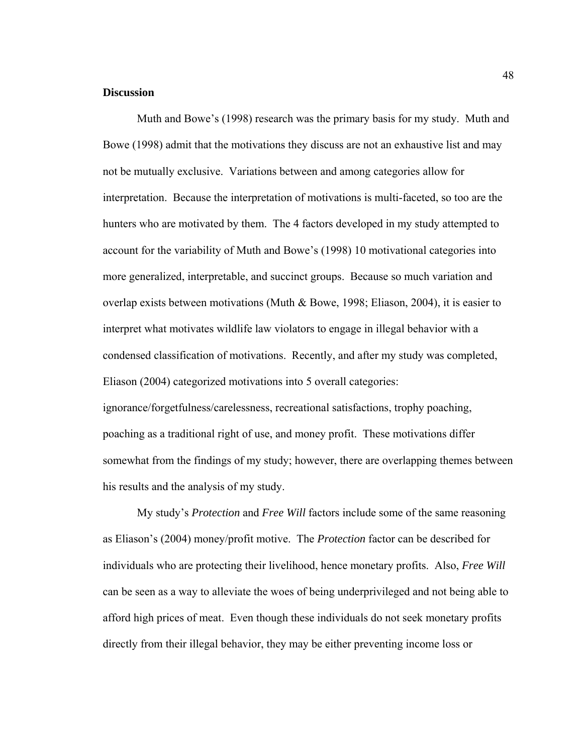#### **Discussion**

 Muth and Bowe's (1998) research was the primary basis for my study. Muth and Bowe (1998) admit that the motivations they discuss are not an exhaustive list and may not be mutually exclusive. Variations between and among categories allow for interpretation. Because the interpretation of motivations is multi-faceted, so too are the hunters who are motivated by them. The 4 factors developed in my study attempted to account for the variability of Muth and Bowe's (1998) 10 motivational categories into more generalized, interpretable, and succinct groups. Because so much variation and overlap exists between motivations (Muth & Bowe, 1998; Eliason, 2004), it is easier to interpret what motivates wildlife law violators to engage in illegal behavior with a condensed classification of motivations. Recently, and after my study was completed, Eliason (2004) categorized motivations into 5 overall categories: ignorance/forgetfulness/carelessness, recreational satisfactions, trophy poaching, poaching as a traditional right of use, and money profit. These motivations differ somewhat from the findings of my study; however, there are overlapping themes between his results and the analysis of my study.

 My study's *Protection* and *Free Will* factors include some of the same reasoning as Eliason's (2004) money/profit motive. The *Protection* factor can be described for individuals who are protecting their livelihood, hence monetary profits. Also, *Free Will* can be seen as a way to alleviate the woes of being underprivileged and not being able to afford high prices of meat. Even though these individuals do not seek monetary profits directly from their illegal behavior, they may be either preventing income loss or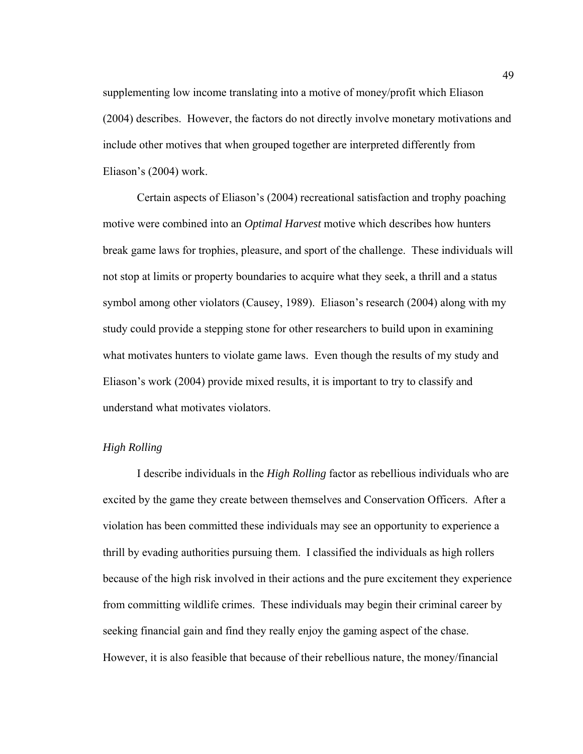supplementing low income translating into a motive of money/profit which Eliason (2004) describes. However, the factors do not directly involve monetary motivations and include other motives that when grouped together are interpreted differently from Eliason's (2004) work.

 Certain aspects of Eliason's (2004) recreational satisfaction and trophy poaching motive were combined into an *Optimal Harvest* motive which describes how hunters break game laws for trophies, pleasure, and sport of the challenge. These individuals will not stop at limits or property boundaries to acquire what they seek, a thrill and a status symbol among other violators (Causey, 1989). Eliason's research (2004) along with my study could provide a stepping stone for other researchers to build upon in examining what motivates hunters to violate game laws. Even though the results of my study and Eliason's work (2004) provide mixed results, it is important to try to classify and understand what motivates violators.

# *High Rolling*

 I describe individuals in the *High Rolling* factor as rebellious individuals who are excited by the game they create between themselves and Conservation Officers. After a violation has been committed these individuals may see an opportunity to experience a thrill by evading authorities pursuing them. I classified the individuals as high rollers because of the high risk involved in their actions and the pure excitement they experience from committing wildlife crimes. These individuals may begin their criminal career by seeking financial gain and find they really enjoy the gaming aspect of the chase. However, it is also feasible that because of their rebellious nature, the money/financial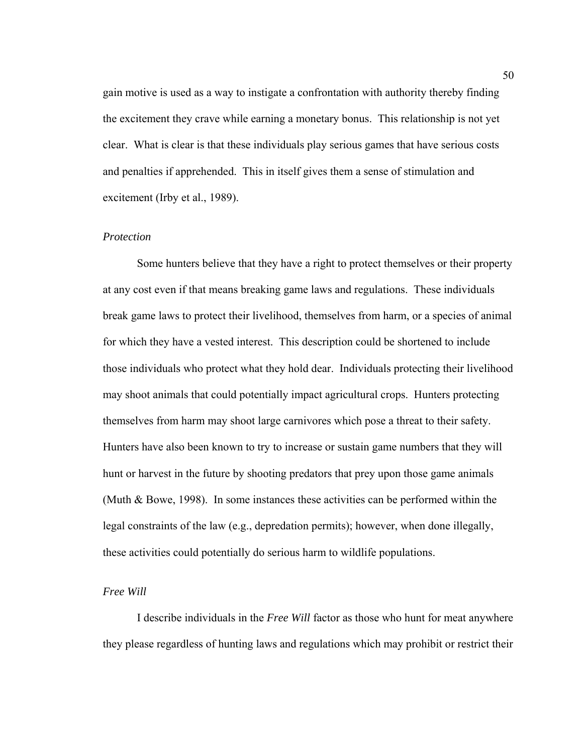gain motive is used as a way to instigate a confrontation with authority thereby finding the excitement they crave while earning a monetary bonus. This relationship is not yet clear. What is clear is that these individuals play serious games that have serious costs and penalties if apprehended. This in itself gives them a sense of stimulation and excitement (Irby et al., 1989).

# *Protection*

 Some hunters believe that they have a right to protect themselves or their property at any cost even if that means breaking game laws and regulations. These individuals break game laws to protect their livelihood, themselves from harm, or a species of animal for which they have a vested interest. This description could be shortened to include those individuals who protect what they hold dear. Individuals protecting their livelihood may shoot animals that could potentially impact agricultural crops. Hunters protecting themselves from harm may shoot large carnivores which pose a threat to their safety. Hunters have also been known to try to increase or sustain game numbers that they will hunt or harvest in the future by shooting predators that prey upon those game animals (Muth & Bowe, 1998). In some instances these activities can be performed within the legal constraints of the law (e.g., depredation permits); however, when done illegally, these activities could potentially do serious harm to wildlife populations.

#### *Free Will*

 I describe individuals in the *Free Will* factor as those who hunt for meat anywhere they please regardless of hunting laws and regulations which may prohibit or restrict their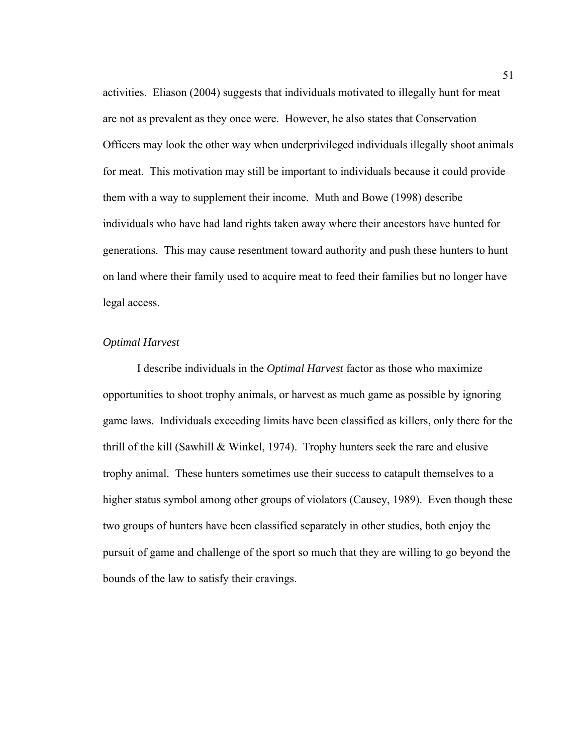activities. Eliason (2004) suggests that individuals motivated to illegally hunt for meat are not as prevalent as they once were. However, he also states that Conservation Officers may look the other way when underprivileged individuals illegally shoot animals for meat. This motivation may still be important to individuals because it could provide them with a way to supplement their income. Muth and Bowe (1998) describe individuals who have had land rights taken away where their ancestors have hunted for generations. This may cause resentment toward authority and push these hunters to hunt on land where their family used to acquire meat to feed their families but no longer have legal access.

## *Optimal Harvest*

 I describe individuals in the *Optimal Harvest* factor as those who maximize opportunities to shoot trophy animals, or harvest as much game as possible by ignoring game laws. Individuals exceeding limits have been classified as killers, only there for the thrill of the kill (Sawhill  $&$  Winkel, 1974). Trophy hunters seek the rare and elusive trophy animal. These hunters sometimes use their success to catapult themselves to a higher status symbol among other groups of violators (Causey, 1989). Even though these two groups of hunters have been classified separately in other studies, both enjoy the pursuit of game and challenge of the sport so much that they are willing to go beyond the bounds of the law to satisfy their cravings.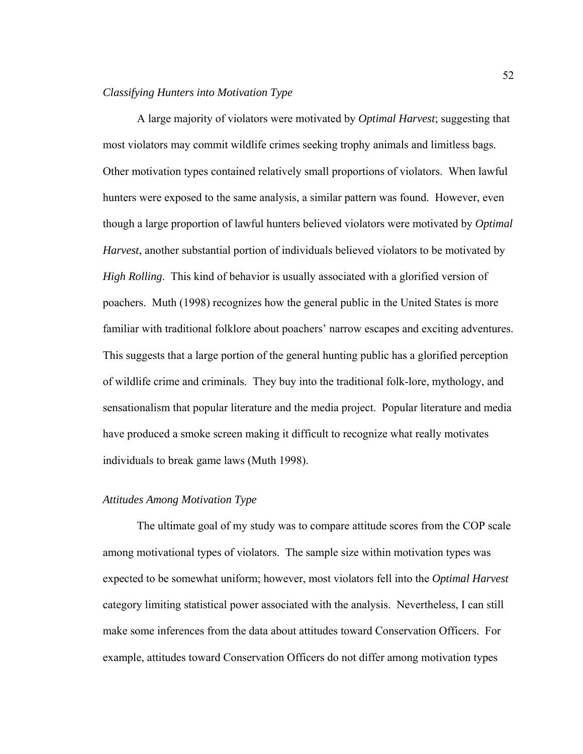#### *Classifying Hunters into Motivation Type*

 A large majority of violators were motivated by *Optimal Harvest*; suggesting that most violators may commit wildlife crimes seeking trophy animals and limitless bags. Other motivation types contained relatively small proportions of violators. When lawful hunters were exposed to the same analysis, a similar pattern was found. However, even though a large proportion of lawful hunters believed violators were motivated by *Optimal Harvest*, another substantial portion of individuals believed violators to be motivated by *High Rolling*. This kind of behavior is usually associated with a glorified version of poachers. Muth (1998) recognizes how the general public in the United States is more familiar with traditional folklore about poachers' narrow escapes and exciting adventures. This suggests that a large portion of the general hunting public has a glorified perception of wildlife crime and criminals. They buy into the traditional folk-lore, mythology, and sensationalism that popular literature and the media project. Popular literature and media have produced a smoke screen making it difficult to recognize what really motivates individuals to break game laws (Muth 1998).

# *Attitudes Among Motivation Type*

The ultimate goal of my study was to compare attitude scores from the COP scale among motivational types of violators. The sample size within motivation types was expected to be somewhat uniform; however, most violators fell into the *Optimal Harvest* category limiting statistical power associated with the analysis. Nevertheless, I can still make some inferences from the data about attitudes toward Conservation Officers. For example, attitudes toward Conservation Officers do not differ among motivation types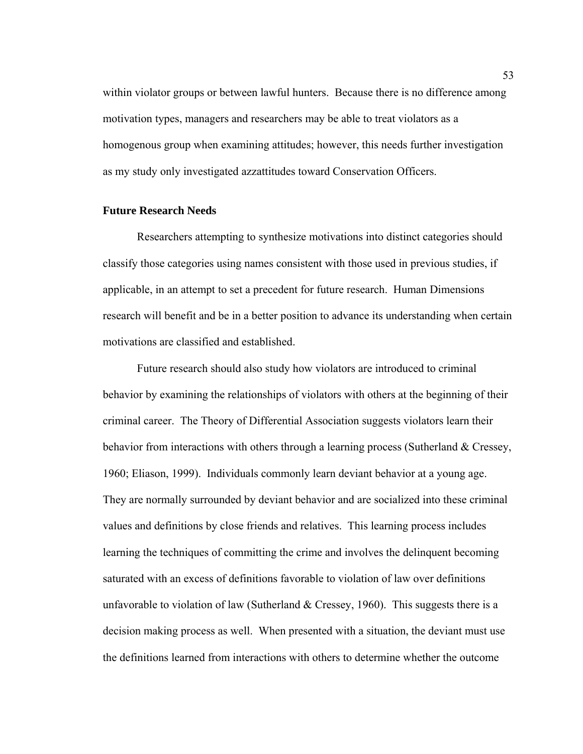within violator groups or between lawful hunters. Because there is no difference among motivation types, managers and researchers may be able to treat violators as a homogenous group when examining attitudes; however, this needs further investigation as my study only investigated azzattitudes toward Conservation Officers.

## **Future Research Needs**

 Researchers attempting to synthesize motivations into distinct categories should classify those categories using names consistent with those used in previous studies, if applicable, in an attempt to set a precedent for future research. Human Dimensions research will benefit and be in a better position to advance its understanding when certain motivations are classified and established.

Future research should also study how violators are introduced to criminal behavior by examining the relationships of violators with others at the beginning of their criminal career. The Theory of Differential Association suggests violators learn their behavior from interactions with others through a learning process (Sutherland & Cressey, 1960; Eliason, 1999). Individuals commonly learn deviant behavior at a young age. They are normally surrounded by deviant behavior and are socialized into these criminal values and definitions by close friends and relatives. This learning process includes learning the techniques of committing the crime and involves the delinquent becoming saturated with an excess of definitions favorable to violation of law over definitions unfavorable to violation of law (Sutherland  $&$  Cressey, 1960). This suggests there is a decision making process as well. When presented with a situation, the deviant must use the definitions learned from interactions with others to determine whether the outcome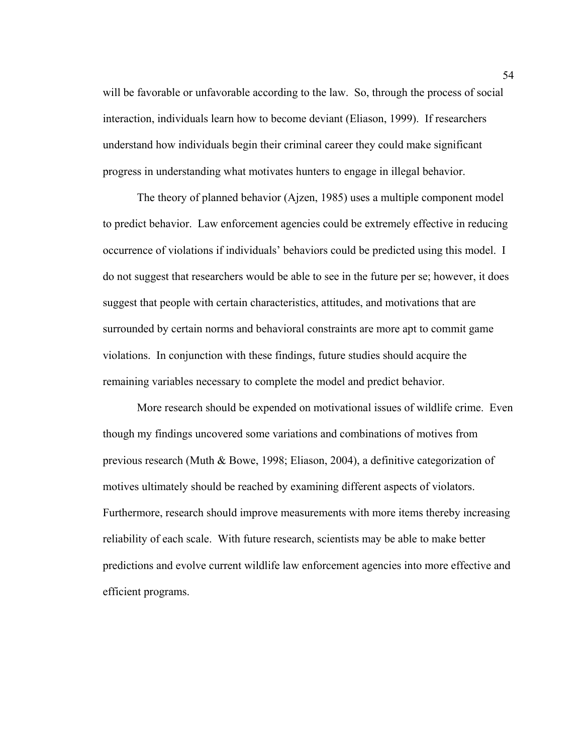will be favorable or unfavorable according to the law. So, through the process of social interaction, individuals learn how to become deviant (Eliason, 1999). If researchers understand how individuals begin their criminal career they could make significant progress in understanding what motivates hunters to engage in illegal behavior.

The theory of planned behavior (Ajzen, 1985) uses a multiple component model to predict behavior. Law enforcement agencies could be extremely effective in reducing occurrence of violations if individuals' behaviors could be predicted using this model. I do not suggest that researchers would be able to see in the future per se; however, it does suggest that people with certain characteristics, attitudes, and motivations that are surrounded by certain norms and behavioral constraints are more apt to commit game violations. In conjunction with these findings, future studies should acquire the remaining variables necessary to complete the model and predict behavior.

More research should be expended on motivational issues of wildlife crime. Even though my findings uncovered some variations and combinations of motives from previous research (Muth & Bowe, 1998; Eliason, 2004), a definitive categorization of motives ultimately should be reached by examining different aspects of violators. Furthermore, research should improve measurements with more items thereby increasing reliability of each scale. With future research, scientists may be able to make better predictions and evolve current wildlife law enforcement agencies into more effective and efficient programs.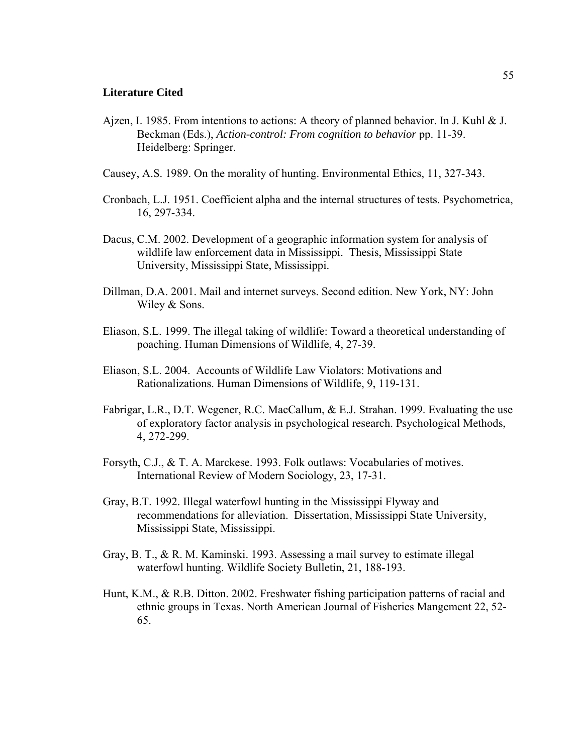#### **Literature Cited**

- Ajzen, I. 1985. From intentions to actions: A theory of planned behavior. In J. Kuhl  $\&$  J. Beckman (Eds.), *Action-control: From cognition to behavior* pp. 11-39. Heidelberg: Springer.
- Causey, A.S. 1989. On the morality of hunting. Environmental Ethics, 11, 327-343.
- Cronbach, L.J. 1951. Coefficient alpha and the internal structures of tests. Psychometrica, 16, 297-334.
- Dacus, C.M. 2002. Development of a geographic information system for analysis of wildlife law enforcement data in Mississippi. Thesis, Mississippi State University, Mississippi State, Mississippi.
- Dillman, D.A. 2001. Mail and internet surveys. Second edition. New York, NY: John Wiley & Sons.
- Eliason, S.L. 1999. The illegal taking of wildlife: Toward a theoretical understanding of poaching. Human Dimensions of Wildlife, 4, 27-39.
- Eliason, S.L. 2004. Accounts of Wildlife Law Violators: Motivations and Rationalizations. Human Dimensions of Wildlife, 9, 119-131.
- Fabrigar, L.R., D.T. Wegener, R.C. MacCallum, & E.J. Strahan. 1999. Evaluating the use of exploratory factor analysis in psychological research. Psychological Methods, 4, 272-299.
- Forsyth, C.J., & T. A. Marckese. 1993. Folk outlaws: Vocabularies of motives. International Review of Modern Sociology, 23, 17-31.
- Gray, B.T. 1992. Illegal waterfowl hunting in the Mississippi Flyway and recommendations for alleviation. Dissertation, Mississippi State University, Mississippi State, Mississippi.
- Gray, B. T., & R. M. Kaminski. 1993. Assessing a mail survey to estimate illegal waterfowl hunting. Wildlife Society Bulletin, 21, 188-193.
- Hunt, K.M., & R.B. Ditton. 2002. Freshwater fishing participation patterns of racial and ethnic groups in Texas. North American Journal of Fisheries Mangement 22, 52- 65.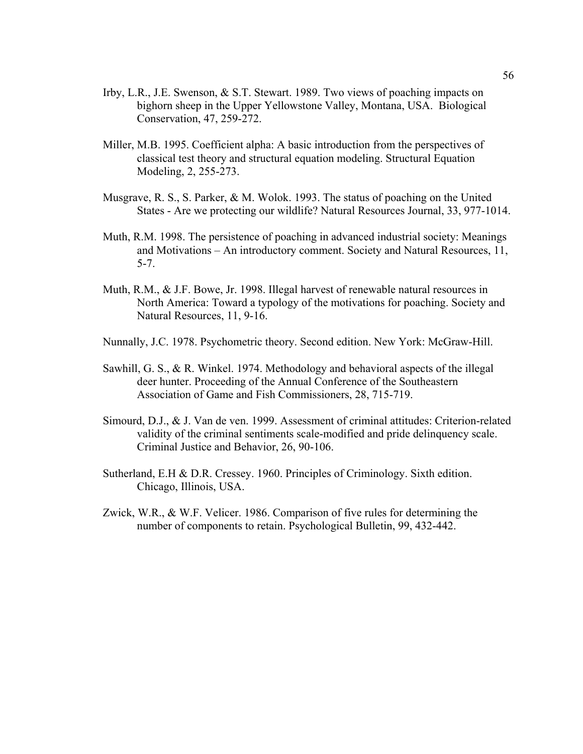- Irby, L.R., J.E. Swenson, & S.T. Stewart. 1989. Two views of poaching impacts on bighorn sheep in the Upper Yellowstone Valley, Montana, USA. Biological Conservation, 47, 259-272.
- Miller, M.B. 1995. Coefficient alpha: A basic introduction from the perspectives of classical test theory and structural equation modeling. Structural Equation Modeling, 2, 255-273.
- Musgrave, R. S., S. Parker, & M. Wolok. 1993. The status of poaching on the United States - Are we protecting our wildlife? Natural Resources Journal, 33, 977-1014.
- Muth, R.M. 1998. The persistence of poaching in advanced industrial society: Meanings and Motivations – An introductory comment. Society and Natural Resources, 11, 5-7.
- Muth, R.M., & J.F. Bowe, Jr. 1998. Illegal harvest of renewable natural resources in North America: Toward a typology of the motivations for poaching. Society and Natural Resources, 11, 9-16.
- Nunnally, J.C. 1978. Psychometric theory. Second edition. New York: McGraw-Hill.
- Sawhill, G. S., & R. Winkel. 1974. Methodology and behavioral aspects of the illegal deer hunter. Proceeding of the Annual Conference of the Southeastern Association of Game and Fish Commissioners, 28, 715-719.
- Simourd, D.J., & J. Van de ven. 1999. Assessment of criminal attitudes: Criterion-related validity of the criminal sentiments scale-modified and pride delinquency scale. Criminal Justice and Behavior, 26, 90-106.
- Sutherland, E.H & D.R. Cressey. 1960. Principles of Criminology. Sixth edition. Chicago, Illinois, USA.
- Zwick, W.R., & W.F. Velicer. 1986. Comparison of five rules for determining the number of components to retain. Psychological Bulletin, 99, 432-442.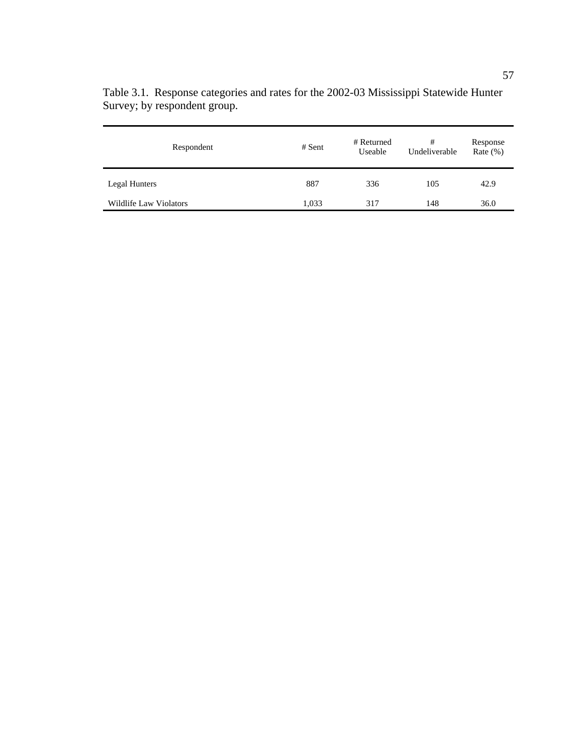| Respondent             | $#$ Sent | # Returned<br>Useable | #<br>Undeliverable | Response<br>Rate $(\%)$ |
|------------------------|----------|-----------------------|--------------------|-------------------------|
| Legal Hunters          | 887      | 336                   | 105                | 42.9                    |
| Wildlife Law Violators | 1,033    | 317                   | 148                | 36.0                    |

Table 3.1. Response categories and rates for the 2002-03 Mississippi Statewide Hunter Survey; by respondent group.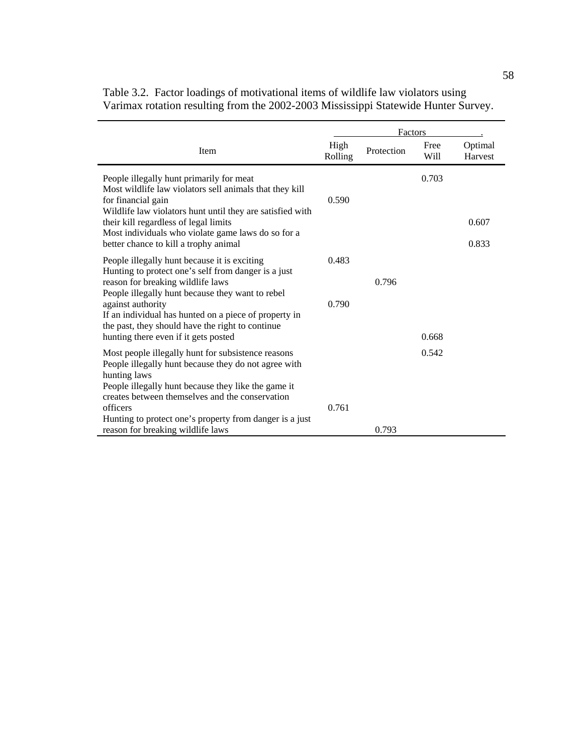|                                                                                                                                                                                                                            |                 | Factors    |              |                    |
|----------------------------------------------------------------------------------------------------------------------------------------------------------------------------------------------------------------------------|-----------------|------------|--------------|--------------------|
| <b>Item</b>                                                                                                                                                                                                                | High<br>Rolling | Protection | Free<br>Will | Optimal<br>Harvest |
| People illegally hunt primarily for meat<br>Most wildlife law violators sell animals that they kill<br>for financial gain<br>Wildlife law violators hunt until they are satisfied with                                     | 0.590           |            | 0.703        |                    |
| their kill regardless of legal limits<br>Most individuals who violate game laws do so for a                                                                                                                                |                 |            |              | 0.607              |
| better chance to kill a trophy animal                                                                                                                                                                                      |                 |            |              | 0.833              |
| People illegally hunt because it is exciting<br>Hunting to protect one's self from danger is a just<br>reason for breaking wildlife laws                                                                                   | 0.483           | 0.796      |              |                    |
| People illegally hunt because they want to rebel<br>against authority<br>If an individual has hunted on a piece of property in<br>the past, they should have the right to continue<br>hunting there even if it gets posted | 0.790           |            | 0.668        |                    |
|                                                                                                                                                                                                                            |                 |            |              |                    |
| Most people illegally hunt for subsistence reasons<br>People illegally hunt because they do not agree with<br>hunting laws                                                                                                 |                 |            | 0.542        |                    |
| People illegally hunt because they like the game it<br>creates between themselves and the conservation<br>officers                                                                                                         | 0.761           |            |              |                    |
| Hunting to protect one's property from danger is a just<br>reason for breaking wildlife laws                                                                                                                               |                 | 0.793      |              |                    |

|  | Table 3.2. Factor loadings of motivational items of wildlife law violators using   |  |  |
|--|------------------------------------------------------------------------------------|--|--|
|  | Varimax rotation resulting from the 2002-2003 Mississippi Statewide Hunter Survey. |  |  |